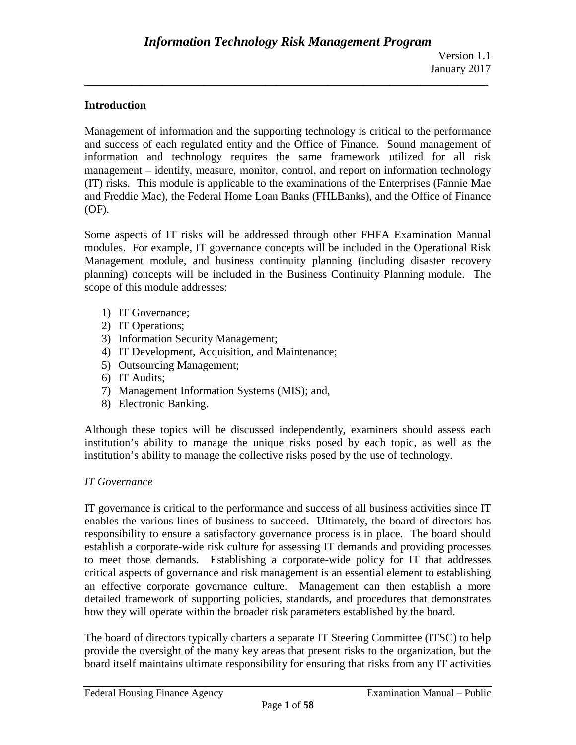## **Introduction**

Management of information and the supporting technology is critical to the performance and success of each regulated entity and the Office of Finance. Sound management of information and technology requires the same framework utilized for all risk management – identify, measure, monitor, control, and report on information technology (IT) risks. This module is applicable to the examinations of the Enterprises (Fannie Mae and Freddie Mac), the Federal Home Loan Banks (FHLBanks), and the Office of Finance (OF).

**\_\_\_\_\_\_\_\_\_\_\_\_\_\_\_\_\_\_\_\_\_\_\_\_\_\_\_\_\_\_\_\_\_\_\_\_\_\_\_\_\_\_\_\_\_\_\_\_\_\_\_\_\_\_\_\_\_\_\_\_\_\_\_\_\_\_\_\_\_\_\_\_\_\_\_\_\_\_**

Some aspects of IT risks will be addressed through other FHFA Examination Manual modules. For example, IT governance concepts will be included in the Operational Risk Management module, and business continuity planning (including disaster recovery planning) concepts will be included in the Business Continuity Planning module. The scope of this module addresses:

- 1) IT Governance;
- 2) IT Operations;
- 3) Information Security Management;
- 4) IT Development, Acquisition, and Maintenance;
- 5) Outsourcing Management;
- 6) IT Audits;
- 7) Management Information Systems (MIS); and,
- 8) Electronic Banking.

Although these topics will be discussed independently, examiners should assess each institution's ability to manage the unique risks posed by each topic, as well as the institution's ability to manage the collective risks posed by the use of technology.

#### *IT Governance*

IT governance is critical to the performance and success of all business activities since IT enables the various lines of business to succeed. Ultimately, the board of directors has responsibility to ensure a satisfactory governance process is in place. The board should establish a corporate-wide risk culture for assessing IT demands and providing processes to meet those demands. Establishing a corporate-wide policy for IT that addresses critical aspects of governance and risk management is an essential element to establishing an effective corporate governance culture. Management can then establish a more detailed framework of supporting policies, standards, and procedures that demonstrates how they will operate within the broader risk parameters established by the board.

The board of directors typically charters a separate IT Steering Committee (ITSC) to help provide the oversight of the many key areas that present risks to the organization, but the board itself maintains ultimate responsibility for ensuring that risks from any IT activities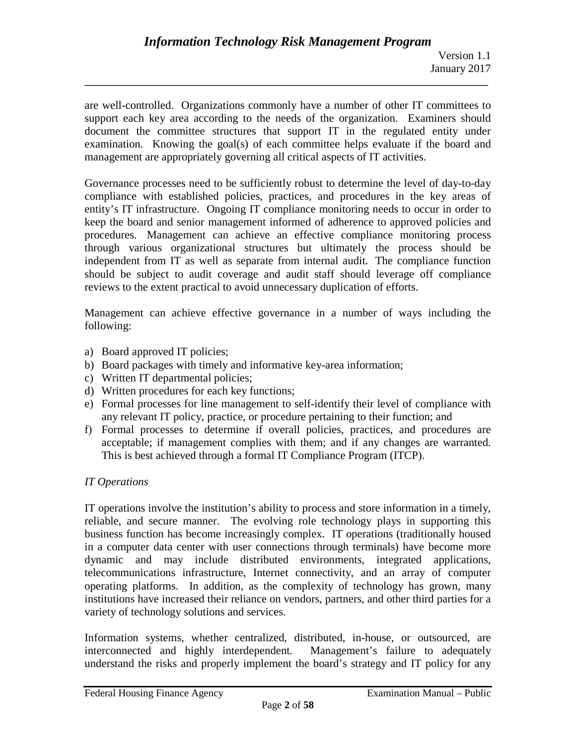are well-controlled. Organizations commonly have a number of other IT committees to support each key area according to the needs of the organization. Examiners should document the committee structures that support IT in the regulated entity under examination. Knowing the goal(s) of each committee helps evaluate if the board and management are appropriately governing all critical aspects of IT activities.

**\_\_\_\_\_\_\_\_\_\_\_\_\_\_\_\_\_\_\_\_\_\_\_\_\_\_\_\_\_\_\_\_\_\_\_\_\_\_\_\_\_\_\_\_\_\_\_\_\_\_\_\_\_\_\_\_\_\_\_\_\_\_\_\_\_\_\_\_\_\_\_\_\_\_\_\_\_\_**

Governance processes need to be sufficiently robust to determine the level of day-to-day compliance with established policies, practices, and procedures in the key areas of entity's IT infrastructure. Ongoing IT compliance monitoring needs to occur in order to keep the board and senior management informed of adherence to approved policies and procedures. Management can achieve an effective compliance monitoring process through various organizational structures but ultimately the process should be independent from IT as well as separate from internal audit. The compliance function should be subject to audit coverage and audit staff should leverage off compliance reviews to the extent practical to avoid unnecessary duplication of efforts.

Management can achieve effective governance in a number of ways including the following:

- a) Board approved IT policies;
- b) Board packages with timely and informative key-area information;
- c) Written IT departmental policies;
- d) Written procedures for each key functions;
- e) Formal processes for line management to self-identify their level of compliance with any relevant IT policy, practice, or procedure pertaining to their function; and
- f) Formal processes to determine if overall policies, practices, and procedures are acceptable; if management complies with them; and if any changes are warranted. This is best achieved through a formal IT Compliance Program (ITCP).

## *IT Operations*

IT operations involve the institution's ability to process and store information in a timely, reliable, and secure manner. The evolving role technology plays in supporting this business function has become increasingly complex. IT operations (traditionally housed in a computer data center with user connections through terminals) have become more dynamic and may include distributed environments, integrated applications, telecommunications infrastructure, Internet connectivity, and an array of computer operating platforms. In addition, as the complexity of technology has grown, many institutions have increased their reliance on vendors, partners, and other third parties for a variety of technology solutions and services.

Information systems, whether centralized, distributed, in-house, or outsourced, are interconnected and highly interdependent. Management's failure to adequately understand the risks and properly implement the board's strategy and IT policy for any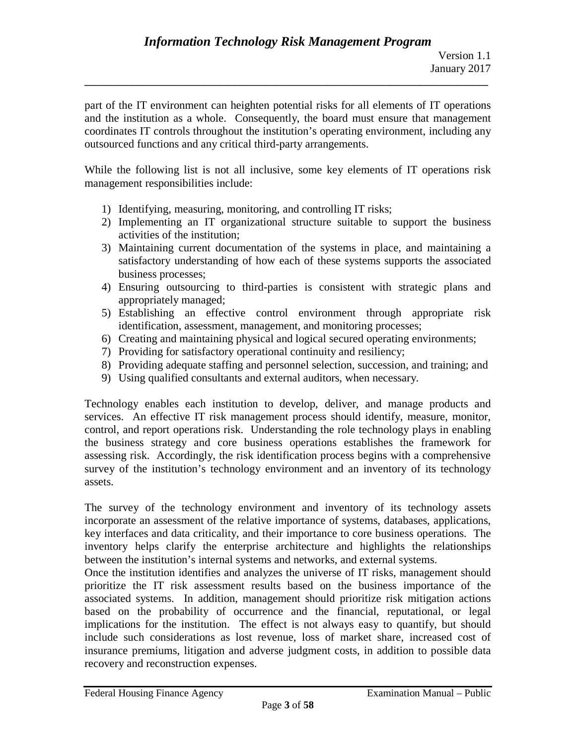part of the IT environment can heighten potential risks for all elements of IT operations and the institution as a whole. Consequently, the board must ensure that management coordinates IT controls throughout the institution's operating environment, including any outsourced functions and any critical third-party arrangements.

While the following list is not all inclusive, some key elements of IT operations risk management responsibilities include:

- 1) Identifying, measuring, monitoring, and controlling IT risks;
- 2) Implementing an IT organizational structure suitable to support the business activities of the institution;
- 3) Maintaining current documentation of the systems in place, and maintaining a satisfactory understanding of how each of these systems supports the associated business processes;
- 4) Ensuring outsourcing to third-parties is consistent with strategic plans and appropriately managed;
- 5) Establishing an effective control environment through appropriate risk identification, assessment, management, and monitoring processes;
- 6) Creating and maintaining physical and logical secured operating environments;
- 7) Providing for satisfactory operational continuity and resiliency;
- 8) Providing adequate staffing and personnel selection, succession, and training; and
- 9) Using qualified consultants and external auditors, when necessary.

Technology enables each institution to develop, deliver, and manage products and services. An effective IT risk management process should identify, measure, monitor, control, and report operations risk. Understanding the role technology plays in enabling the business strategy and core business operations establishes the framework for assessing risk. Accordingly, the risk identification process begins with a comprehensive survey of the institution's technology environment and an inventory of its technology assets.

The survey of the technology environment and inventory of its technology assets incorporate an assessment of the relative importance of systems, databases, applications, key interfaces and data criticality, and their importance to core business operations. The inventory helps clarify the enterprise architecture and highlights the relationships between the institution's internal systems and networks, and external systems.

Once the institution identifies and analyzes the universe of IT risks, management should prioritize the IT risk assessment results based on the business importance of the associated systems. In addition, management should prioritize risk mitigation actions based on the probability of occurrence and the financial, reputational, or legal implications for the institution. The effect is not always easy to quantify, but should include such considerations as lost revenue, loss of market share, increased cost of insurance premiums, litigation and adverse judgment costs, in addition to possible data recovery and reconstruction expenses.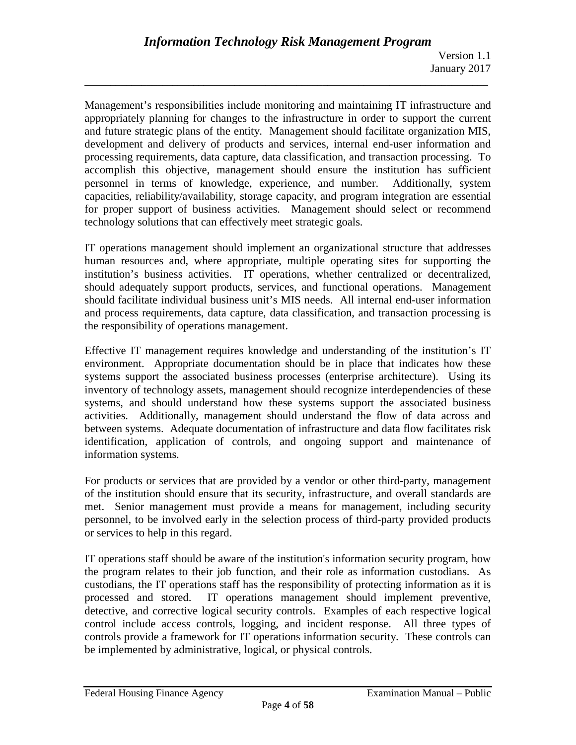Management's responsibilities include monitoring and maintaining IT infrastructure and appropriately planning for changes to the infrastructure in order to support the current and future strategic plans of the entity. Management should facilitate organization MIS, development and delivery of products and services, internal end-user information and processing requirements, data capture, data classification, and transaction processing. To accomplish this objective, management should ensure the institution has sufficient personnel in terms of knowledge, experience, and number. Additionally, system capacities, reliability/availability, storage capacity, and program integration are essential for proper support of business activities. Management should select or recommend technology solutions that can effectively meet strategic goals.

**\_\_\_\_\_\_\_\_\_\_\_\_\_\_\_\_\_\_\_\_\_\_\_\_\_\_\_\_\_\_\_\_\_\_\_\_\_\_\_\_\_\_\_\_\_\_\_\_\_\_\_\_\_\_\_\_\_\_\_\_\_\_\_\_\_\_\_\_\_\_\_\_\_\_\_\_\_\_**

IT operations management should implement an organizational structure that addresses human resources and, where appropriate, multiple operating sites for supporting the institution's business activities. IT operations, whether centralized or decentralized, should adequately support products, services, and functional operations. Management should facilitate individual business unit's MIS needs. All internal end-user information and process requirements, data capture, data classification, and transaction processing is the responsibility of operations management.

Effective IT management requires knowledge and understanding of the institution's IT environment. Appropriate documentation should be in place that indicates how these systems support the associated business processes (enterprise architecture). Using its inventory of technology assets, management should recognize interdependencies of these systems, and should understand how these systems support the associated business activities. Additionally, management should understand the flow of data across and between systems. Adequate documentation of infrastructure and data flow facilitates risk identification, application of controls, and ongoing support and maintenance of information systems.

For products or services that are provided by a vendor or other third-party, management of the institution should ensure that its security, infrastructure, and overall standards are met. Senior management must provide a means for management, including security personnel, to be involved early in the selection process of third-party provided products or services to help in this regard.

IT operations staff should be aware of the institution's information security program, how the program relates to their job function, and their role as information custodians. As custodians, the IT operations staff has the responsibility of protecting information as it is processed and stored. IT operations management should implement preventive, detective, and corrective logical security controls. Examples of each respective logical control include access controls, logging, and incident response. All three types of controls provide a framework for IT operations information security. These controls can be implemented by administrative, logical, or physical controls.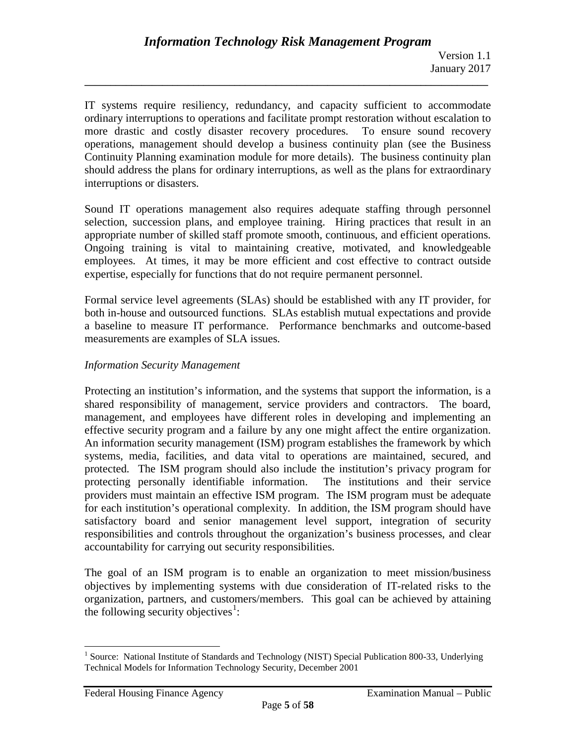IT systems require resiliency, redundancy, and capacity sufficient to accommodate ordinary interruptions to operations and facilitate prompt restoration without escalation to more drastic and costly disaster recovery procedures. To ensure sound recovery operations, management should develop a business continuity plan (see the Business Continuity Planning examination module for more details). The business continuity plan should address the plans for ordinary interruptions, as well as the plans for extraordinary interruptions or disasters.

**\_\_\_\_\_\_\_\_\_\_\_\_\_\_\_\_\_\_\_\_\_\_\_\_\_\_\_\_\_\_\_\_\_\_\_\_\_\_\_\_\_\_\_\_\_\_\_\_\_\_\_\_\_\_\_\_\_\_\_\_\_\_\_\_\_\_\_\_\_\_\_\_\_\_\_\_\_\_**

Sound IT operations management also requires adequate staffing through personnel selection, succession plans, and employee training. Hiring practices that result in an appropriate number of skilled staff promote smooth, continuous, and efficient operations. Ongoing training is vital to maintaining creative, motivated, and knowledgeable employees. At times, it may be more efficient and cost effective to contract outside expertise, especially for functions that do not require permanent personnel.

Formal service level agreements (SLAs) should be established with any IT provider, for both in-house and outsourced functions. SLAs establish mutual expectations and provide a baseline to measure IT performance. Performance benchmarks and outcome-based measurements are examples of SLA issues.

#### *Information Security Management*

Protecting an institution's information, and the systems that support the information, is a shared responsibility of management, service providers and contractors. The board, management, and employees have different roles in developing and implementing an effective security program and a failure by any one might affect the entire organization. An information security management (ISM) program establishes the framework by which systems, media, facilities, and data vital to operations are maintained, secured, and protected. The ISM program should also include the institution's privacy program for protecting personally identifiable information. The institutions and their service providers must maintain an effective ISM program. The ISM program must be adequate for each institution's operational complexity. In addition, the ISM program should have satisfactory board and senior management level support, integration of security responsibilities and controls throughout the organization's business processes, and clear accountability for carrying out security responsibilities.

The goal of an ISM program is to enable an organization to meet mission/business objectives by implementing systems with due consideration of IT-related risks to the organization, partners, and customers/members. This goal can be achieved by attaining the following security objectives $<sup>1</sup>$  $<sup>1</sup>$  $<sup>1</sup>$ :</sup>

<span id="page-4-0"></span><sup>&</sup>lt;sup>1</sup> Source: National Institute of Standards and Technology (NIST) Special Publication 800-33, Underlying Technical Models for Information Technology Security, December 2001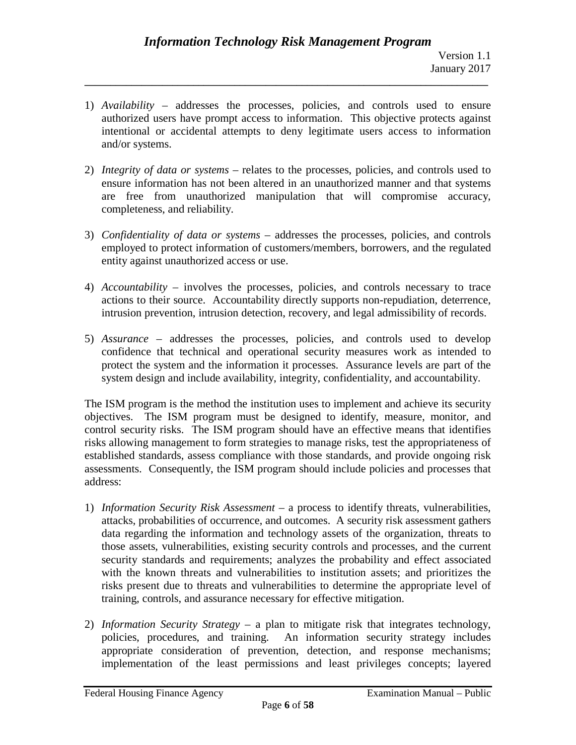1) *Availability* – addresses the processes, policies, and controls used to ensure authorized users have prompt access to information. This objective protects against intentional or accidental attempts to deny legitimate users access to information and/or systems.

**\_\_\_\_\_\_\_\_\_\_\_\_\_\_\_\_\_\_\_\_\_\_\_\_\_\_\_\_\_\_\_\_\_\_\_\_\_\_\_\_\_\_\_\_\_\_\_\_\_\_\_\_\_\_\_\_\_\_\_\_\_\_\_\_\_\_\_\_\_\_\_\_\_\_\_\_\_\_**

- 2) *Integrity of data or systems* relates to the processes, policies, and controls used to ensure information has not been altered in an unauthorized manner and that systems are free from unauthorized manipulation that will compromise accuracy, completeness, and reliability.
- 3) *Confidentiality of data or systems* addresses the processes, policies, and controls employed to protect information of customers/members, borrowers, and the regulated entity against unauthorized access or use.
- 4) *Accountability* involves the processes, policies, and controls necessary to trace actions to their source. Accountability directly supports non-repudiation, deterrence, intrusion prevention, intrusion detection, recovery, and legal admissibility of records.
- 5) *Assurance* addresses the processes, policies, and controls used to develop confidence that technical and operational security measures work as intended to protect the system and the information it processes. Assurance levels are part of the system design and include availability, integrity, confidentiality, and accountability.

The ISM program is the method the institution uses to implement and achieve its security objectives. The ISM program must be designed to identify, measure, monitor, and control security risks. The ISM program should have an effective means that identifies risks allowing management to form strategies to manage risks, test the appropriateness of established standards, assess compliance with those standards, and provide ongoing risk assessments. Consequently, the ISM program should include policies and processes that address:

- 1) *Information Security Risk Assessment* a process to identify threats, vulnerabilities, attacks, probabilities of occurrence, and outcomes. A security risk assessment gathers data regarding the information and technology assets of the organization, threats to those assets, vulnerabilities, existing security controls and processes, and the current security standards and requirements; analyzes the probability and effect associated with the known threats and vulnerabilities to institution assets; and prioritizes the risks present due to threats and vulnerabilities to determine the appropriate level of training, controls, and assurance necessary for effective mitigation.
- 2) *Information Security Strategy* a plan to mitigate risk that integrates technology, policies, procedures, and training. An information security strategy includes appropriate consideration of prevention, detection, and response mechanisms; implementation of the least permissions and least privileges concepts; layered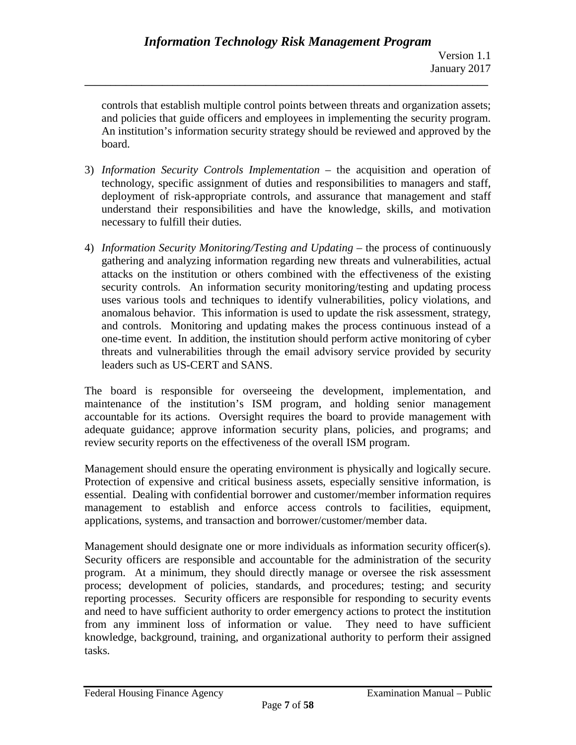controls that establish multiple control points between threats and organization assets; and policies that guide officers and employees in implementing the security program. An institution's information security strategy should be reviewed and approved by the board.

**\_\_\_\_\_\_\_\_\_\_\_\_\_\_\_\_\_\_\_\_\_\_\_\_\_\_\_\_\_\_\_\_\_\_\_\_\_\_\_\_\_\_\_\_\_\_\_\_\_\_\_\_\_\_\_\_\_\_\_\_\_\_\_\_\_\_\_\_\_\_\_\_\_\_\_\_\_\_**

- 3) *Information Security Controls Implementation* the acquisition and operation of technology, specific assignment of duties and responsibilities to managers and staff, deployment of risk-appropriate controls, and assurance that management and staff understand their responsibilities and have the knowledge, skills, and motivation necessary to fulfill their duties.
- 4) *Information Security Monitoring/Testing and Updating* the process of continuously gathering and analyzing information regarding new threats and vulnerabilities, actual attacks on the institution or others combined with the effectiveness of the existing security controls. An information security monitoring/testing and updating process uses various tools and techniques to identify vulnerabilities, policy violations, and anomalous behavior. This information is used to update the risk assessment, strategy, and controls. Monitoring and updating makes the process continuous instead of a one-time event. In addition, the institution should perform active monitoring of cyber threats and vulnerabilities through the email advisory service provided by security leaders such as US-CERT and SANS.

The board is responsible for overseeing the development, implementation, and maintenance of the institution's ISM program, and holding senior management accountable for its actions. Oversight requires the board to provide management with adequate guidance; approve information security plans, policies, and programs; and review security reports on the effectiveness of the overall ISM program.

Management should ensure the operating environment is physically and logically secure. Protection of expensive and critical business assets, especially sensitive information, is essential. Dealing with confidential borrower and customer/member information requires management to establish and enforce access controls to facilities, equipment, applications, systems, and transaction and borrower/customer/member data.

Management should designate one or more individuals as information security officer(s). Security officers are responsible and accountable for the administration of the security program. At a minimum, they should directly manage or oversee the risk assessment process; development of policies, standards, and procedures; testing; and security reporting processes. Security officers are responsible for responding to security events and need to have sufficient authority to order emergency actions to protect the institution from any imminent loss of information or value. They need to have sufficient knowledge, background, training, and organizational authority to perform their assigned tasks.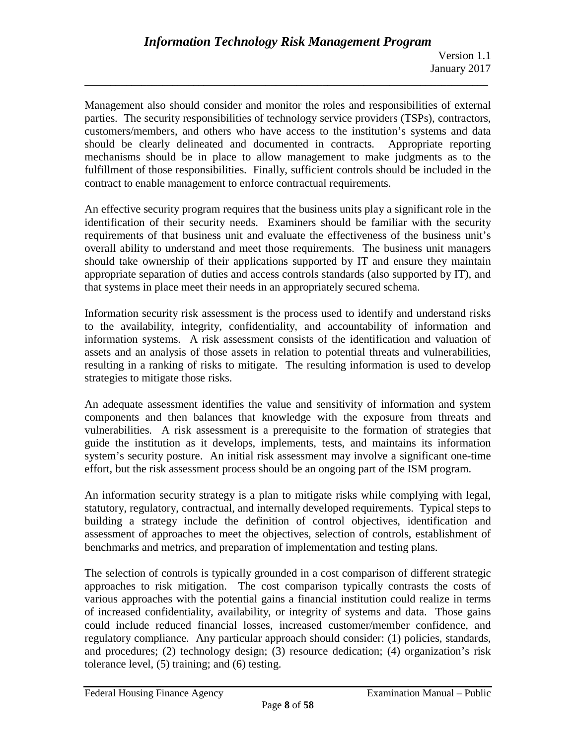Management also should consider and monitor the roles and responsibilities of external parties. The security responsibilities of technology service providers (TSPs), contractors, customers/members, and others who have access to the institution's systems and data should be clearly delineated and documented in contracts. Appropriate reporting mechanisms should be in place to allow management to make judgments as to the fulfillment of those responsibilities. Finally, sufficient controls should be included in the contract to enable management to enforce contractual requirements.

**\_\_\_\_\_\_\_\_\_\_\_\_\_\_\_\_\_\_\_\_\_\_\_\_\_\_\_\_\_\_\_\_\_\_\_\_\_\_\_\_\_\_\_\_\_\_\_\_\_\_\_\_\_\_\_\_\_\_\_\_\_\_\_\_\_\_\_\_\_\_\_\_\_\_\_\_\_\_**

An effective security program requires that the business units play a significant role in the identification of their security needs. Examiners should be familiar with the security requirements of that business unit and evaluate the effectiveness of the business unit's overall ability to understand and meet those requirements. The business unit managers should take ownership of their applications supported by IT and ensure they maintain appropriate separation of duties and access controls standards (also supported by IT), and that systems in place meet their needs in an appropriately secured schema.

Information security risk assessment is the process used to identify and understand risks to the availability, integrity, confidentiality, and accountability of information and information systems. A risk assessment consists of the identification and valuation of assets and an analysis of those assets in relation to potential threats and vulnerabilities, resulting in a ranking of risks to mitigate. The resulting information is used to develop strategies to mitigate those risks.

An adequate assessment identifies the value and sensitivity of information and system components and then balances that knowledge with the exposure from threats and vulnerabilities. A risk assessment is a prerequisite to the formation of strategies that guide the institution as it develops, implements, tests, and maintains its information system's security posture. An initial risk assessment may involve a significant one-time effort, but the risk assessment process should be an ongoing part of the ISM program.

An information security strategy is a plan to mitigate risks while complying with legal, statutory, regulatory, contractual, and internally developed requirements. Typical steps to building a strategy include the definition of control objectives, identification and assessment of approaches to meet the objectives, selection of controls, establishment of benchmarks and metrics, and preparation of implementation and testing plans.

The selection of controls is typically grounded in a cost comparison of different strategic approaches to risk mitigation. The cost comparison typically contrasts the costs of various approaches with the potential gains a financial institution could realize in terms of increased confidentiality, availability, or integrity of systems and data. Those gains could include reduced financial losses, increased customer/member confidence, and regulatory compliance. Any particular approach should consider: (1) policies, standards, and procedures; (2) technology design; (3) resource dedication; (4) organization's risk tolerance level, (5) training; and (6) testing.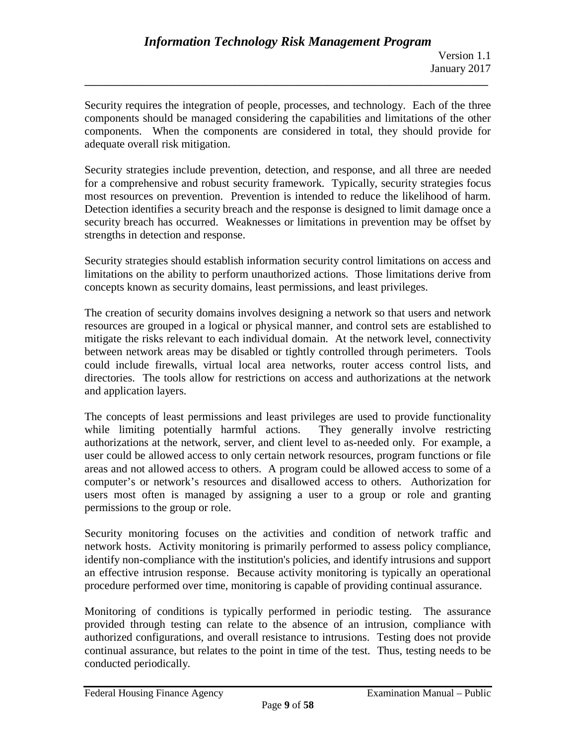Security requires the integration of people, processes, and technology. Each of the three components should be managed considering the capabilities and limitations of the other components. When the components are considered in total, they should provide for adequate overall risk mitigation.

**\_\_\_\_\_\_\_\_\_\_\_\_\_\_\_\_\_\_\_\_\_\_\_\_\_\_\_\_\_\_\_\_\_\_\_\_\_\_\_\_\_\_\_\_\_\_\_\_\_\_\_\_\_\_\_\_\_\_\_\_\_\_\_\_\_\_\_\_\_\_\_\_\_\_\_\_\_\_**

Security strategies include prevention, detection, and response, and all three are needed for a comprehensive and robust security framework. Typically, security strategies focus most resources on prevention. Prevention is intended to reduce the likelihood of harm. Detection identifies a security breach and the response is designed to limit damage once a security breach has occurred. Weaknesses or limitations in prevention may be offset by strengths in detection and response.

Security strategies should establish information security control limitations on access and limitations on the ability to perform unauthorized actions. Those limitations derive from concepts known as security domains, least permissions, and least privileges.

The creation of security domains involves designing a network so that users and network resources are grouped in a logical or physical manner, and control sets are established to mitigate the risks relevant to each individual domain. At the network level, connectivity between network areas may be disabled or tightly controlled through perimeters. Tools could include firewalls, virtual local area networks, router access control lists, and directories. The tools allow for restrictions on access and authorizations at the network and application layers.

The concepts of least permissions and least privileges are used to provide functionality while limiting potentially harmful actions. They generally involve restricting authorizations at the network, server, and client level to as-needed only. For example, a user could be allowed access to only certain network resources, program functions or file areas and not allowed access to others. A program could be allowed access to some of a computer's or network's resources and disallowed access to others. Authorization for users most often is managed by assigning a user to a group or role and granting permissions to the group or role.

Security monitoring focuses on the activities and condition of network traffic and network hosts. Activity monitoring is primarily performed to assess policy compliance, identify non-compliance with the institution's policies, and identify intrusions and support an effective intrusion response. Because activity monitoring is typically an operational procedure performed over time, monitoring is capable of providing continual assurance.

Monitoring of conditions is typically performed in periodic testing. The assurance provided through testing can relate to the absence of an intrusion, compliance with authorized configurations, and overall resistance to intrusions. Testing does not provide continual assurance, but relates to the point in time of the test. Thus, testing needs to be conducted periodically.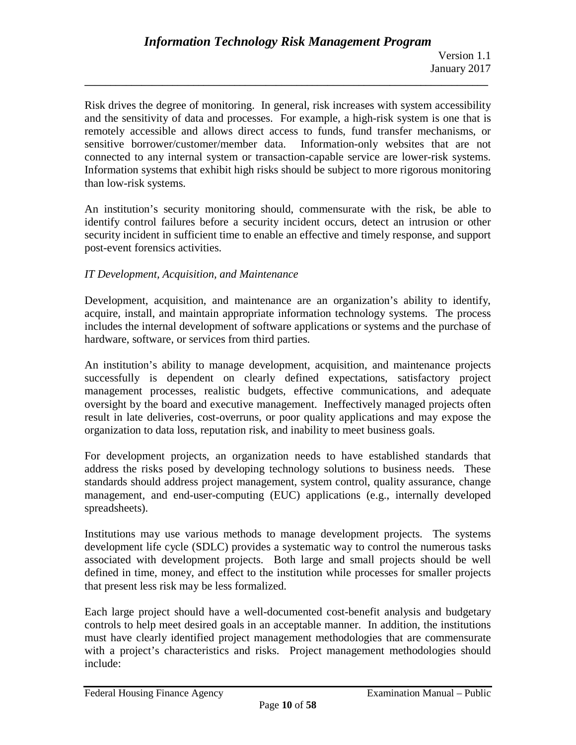Risk drives the degree of monitoring. In general, risk increases with system accessibility and the sensitivity of data and processes. For example, a high-risk system is one that is remotely accessible and allows direct access to funds, fund transfer mechanisms, or sensitive borrower/customer/member data. Information-only websites that are not connected to any internal system or transaction-capable service are lower-risk systems. Information systems that exhibit high risks should be subject to more rigorous monitoring than low-risk systems.

**\_\_\_\_\_\_\_\_\_\_\_\_\_\_\_\_\_\_\_\_\_\_\_\_\_\_\_\_\_\_\_\_\_\_\_\_\_\_\_\_\_\_\_\_\_\_\_\_\_\_\_\_\_\_\_\_\_\_\_\_\_\_\_\_\_\_\_\_\_\_\_\_\_\_\_\_\_\_**

An institution's security monitoring should, commensurate with the risk, be able to identify control failures before a security incident occurs, detect an intrusion or other security incident in sufficient time to enable an effective and timely response, and support post-event forensics activities.

## *IT Development, Acquisition, and Maintenance*

Development, acquisition, and maintenance are an organization's ability to identify, acquire, install, and maintain appropriate information technology systems. The process includes the internal development of software applications or systems and the purchase of hardware, software, or services from third parties.

An institution's ability to manage development, acquisition, and maintenance projects successfully is dependent on clearly defined expectations, satisfactory project management processes, realistic budgets, effective communications, and adequate oversight by the board and executive management. Ineffectively managed projects often result in late deliveries, cost-overruns, or poor quality applications and may expose the organization to data loss, reputation risk, and inability to meet business goals.

For development projects, an organization needs to have established standards that address the risks posed by developing technology solutions to business needs. These standards should address project management, system control, quality assurance, change management, and end-user-computing (EUC) applications (e.g., internally developed spreadsheets).

Institutions may use various methods to manage development projects. The systems development life cycle (SDLC) provides a systematic way to control the numerous tasks associated with development projects. Both large and small projects should be well defined in time, money, and effect to the institution while processes for smaller projects that present less risk may be less formalized.

Each large project should have a well-documented cost-benefit analysis and budgetary controls to help meet desired goals in an acceptable manner. In addition, the institutions must have clearly identified project management methodologies that are commensurate with a project's characteristics and risks. Project management methodologies should include: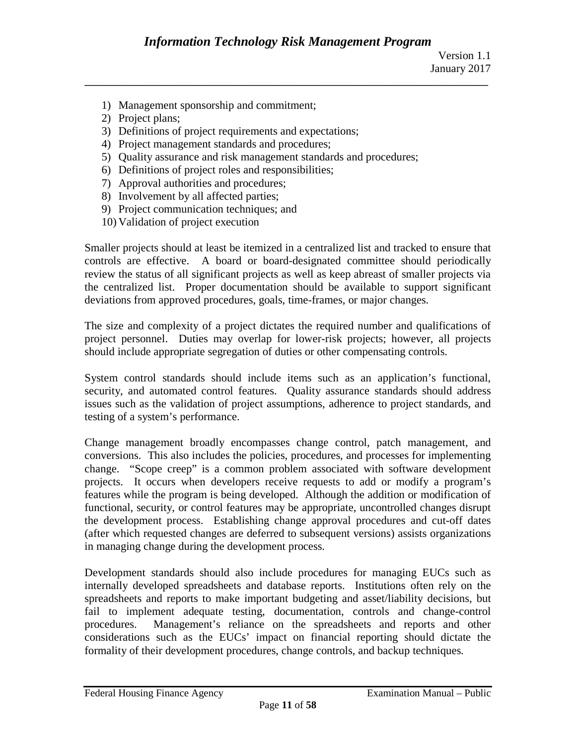- 1) Management sponsorship and commitment;
- 2) Project plans;
- 3) Definitions of project requirements and expectations;
- 4) Project management standards and procedures;
- 5) Quality assurance and risk management standards and procedures;
- 6) Definitions of project roles and responsibilities;
- 7) Approval authorities and procedures;
- 8) Involvement by all affected parties;
- 9) Project communication techniques; and
- 10) Validation of project execution

Smaller projects should at least be itemized in a centralized list and tracked to ensure that controls are effective. A board or board-designated committee should periodically review the status of all significant projects as well as keep abreast of smaller projects via the centralized list. Proper documentation should be available to support significant deviations from approved procedures, goals, time-frames, or major changes.

The size and complexity of a project dictates the required number and qualifications of project personnel. Duties may overlap for lower-risk projects; however, all projects should include appropriate segregation of duties or other compensating controls.

System control standards should include items such as an application's functional, security, and automated control features. Quality assurance standards should address issues such as the validation of project assumptions, adherence to project standards, and testing of a system's performance.

Change management broadly encompasses change control, patch management, and conversions. This also includes the policies, procedures, and processes for implementing change. "Scope creep" is a common problem associated with software development projects. It occurs when developers receive requests to add or modify a program's features while the program is being developed. Although the addition or modification of functional, security, or control features may be appropriate, uncontrolled changes disrupt the development process. Establishing change approval procedures and cut-off dates (after which requested changes are deferred to subsequent versions) assists organizations in managing change during the development process.

Development standards should also include procedures for managing EUCs such as internally developed spreadsheets and database reports. Institutions often rely on the spreadsheets and reports to make important budgeting and asset/liability decisions, but fail to implement adequate testing, documentation, controls and change-control procedures. Management's reliance on the spreadsheets and reports and other considerations such as the EUCs' impact on financial reporting should dictate the formality of their development procedures, change controls, and backup techniques.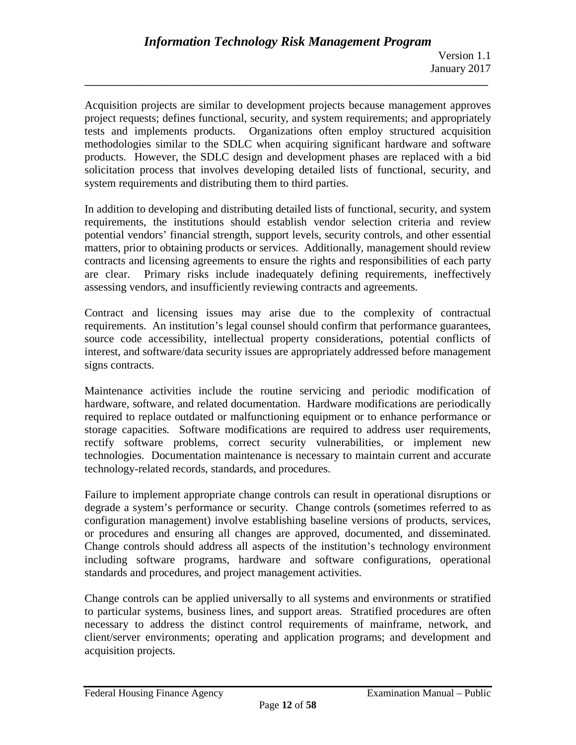Acquisition projects are similar to development projects because management approves project requests; defines functional, security, and system requirements; and appropriately tests and implements products. Organizations often employ structured acquisition methodologies similar to the SDLC when acquiring significant hardware and software products. However, the SDLC design and development phases are replaced with a bid solicitation process that involves developing detailed lists of functional, security, and system requirements and distributing them to third parties.

**\_\_\_\_\_\_\_\_\_\_\_\_\_\_\_\_\_\_\_\_\_\_\_\_\_\_\_\_\_\_\_\_\_\_\_\_\_\_\_\_\_\_\_\_\_\_\_\_\_\_\_\_\_\_\_\_\_\_\_\_\_\_\_\_\_\_\_\_\_\_\_\_\_\_\_\_\_\_**

In addition to developing and distributing detailed lists of functional, security, and system requirements, the institutions should establish vendor selection criteria and review potential vendors' financial strength, support levels, security controls, and other essential matters, prior to obtaining products or services. Additionally, management should review contracts and licensing agreements to ensure the rights and responsibilities of each party are clear. Primary risks include inadequately defining requirements, ineffectively assessing vendors, and insufficiently reviewing contracts and agreements.

Contract and licensing issues may arise due to the complexity of contractual requirements. An institution's legal counsel should confirm that performance guarantees, source code accessibility, intellectual property considerations, potential conflicts of interest, and software/data security issues are appropriately addressed before management signs contracts.

Maintenance activities include the routine servicing and periodic modification of hardware, software, and related documentation. Hardware modifications are periodically required to replace outdated or malfunctioning equipment or to enhance performance or storage capacities. Software modifications are required to address user requirements, rectify software problems, correct security vulnerabilities, or implement new technologies. Documentation maintenance is necessary to maintain current and accurate technology-related records, standards, and procedures.

Failure to implement appropriate change controls can result in operational disruptions or degrade a system's performance or security. Change controls (sometimes referred to as configuration management) involve establishing baseline versions of products, services, or procedures and ensuring all changes are approved, documented, and disseminated. Change controls should address all aspects of the institution's technology environment including software programs, hardware and software configurations, operational standards and procedures, and project management activities.

Change controls can be applied universally to all systems and environments or stratified to particular systems, business lines, and support areas. Stratified procedures are often necessary to address the distinct control requirements of mainframe, network, and client/server environments; operating and application programs; and development and acquisition projects.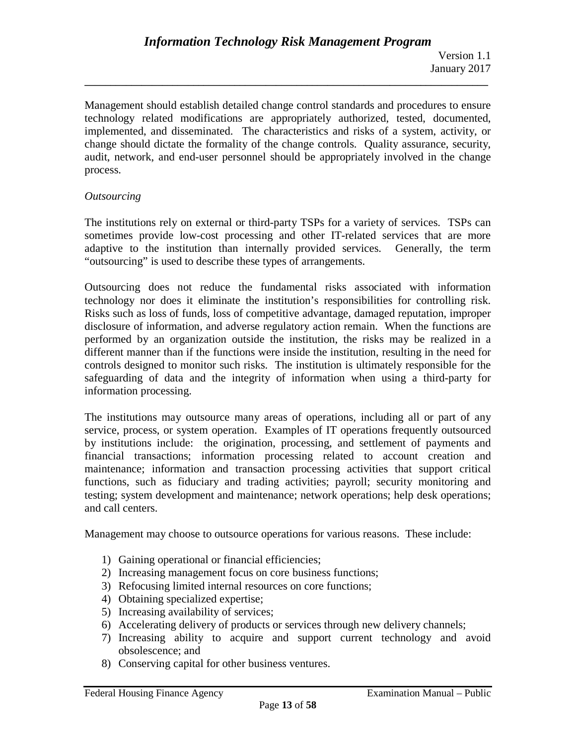Management should establish detailed change control standards and procedures to ensure technology related modifications are appropriately authorized, tested, documented, implemented, and disseminated. The characteristics and risks of a system, activity, or change should dictate the formality of the change controls. Quality assurance, security, audit, network, and end-user personnel should be appropriately involved in the change process.

**\_\_\_\_\_\_\_\_\_\_\_\_\_\_\_\_\_\_\_\_\_\_\_\_\_\_\_\_\_\_\_\_\_\_\_\_\_\_\_\_\_\_\_\_\_\_\_\_\_\_\_\_\_\_\_\_\_\_\_\_\_\_\_\_\_\_\_\_\_\_\_\_\_\_\_\_\_\_**

#### *Outsourcing*

The institutions rely on external or third-party TSPs for a variety of services. TSPs can sometimes provide low-cost processing and other IT-related services that are more adaptive to the institution than internally provided services. Generally, the term "outsourcing" is used to describe these types of arrangements.

Outsourcing does not reduce the fundamental risks associated with information technology nor does it eliminate the institution's responsibilities for controlling risk. Risks such as loss of funds, loss of competitive advantage, damaged reputation, improper disclosure of information, and adverse regulatory action remain. When the functions are performed by an organization outside the institution, the risks may be realized in a different manner than if the functions were inside the institution, resulting in the need for controls designed to monitor such risks. The institution is ultimately responsible for the safeguarding of data and the integrity of information when using a third-party for information processing.

The institutions may outsource many areas of operations, including all or part of any service, process, or system operation. Examples of IT operations frequently outsourced by institutions include: the origination, processing, and settlement of payments and financial transactions; information processing related to account creation and maintenance; information and transaction processing activities that support critical functions, such as fiduciary and trading activities; payroll; security monitoring and testing; system development and maintenance; network operations; help desk operations; and call centers.

Management may choose to outsource operations for various reasons. These include:

- 1) Gaining operational or financial efficiencies;
- 2) Increasing management focus on core business functions;
- 3) Refocusing limited internal resources on core functions;
- 4) Obtaining specialized expertise;
- 5) Increasing availability of services;
- 6) Accelerating delivery of products or services through new delivery channels;
- 7) Increasing ability to acquire and support current technology and avoid obsolescence; and
- 8) Conserving capital for other business ventures.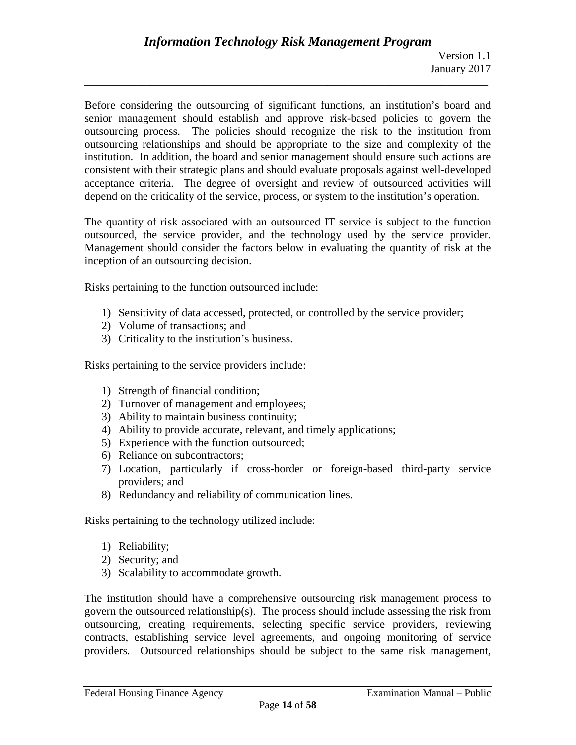Before considering the outsourcing of significant functions, an institution's board and senior management should establish and approve risk-based policies to govern the outsourcing process. The policies should recognize the risk to the institution from outsourcing relationships and should be appropriate to the size and complexity of the institution. In addition, the board and senior management should ensure such actions are consistent with their strategic plans and should evaluate proposals against well-developed acceptance criteria. The degree of oversight and review of outsourced activities will depend on the criticality of the service, process, or system to the institution's operation.

**\_\_\_\_\_\_\_\_\_\_\_\_\_\_\_\_\_\_\_\_\_\_\_\_\_\_\_\_\_\_\_\_\_\_\_\_\_\_\_\_\_\_\_\_\_\_\_\_\_\_\_\_\_\_\_\_\_\_\_\_\_\_\_\_\_\_\_\_\_\_\_\_\_\_\_\_\_\_**

The quantity of risk associated with an outsourced IT service is subject to the function outsourced, the service provider, and the technology used by the service provider. Management should consider the factors below in evaluating the quantity of risk at the inception of an outsourcing decision.

Risks pertaining to the function outsourced include:

- 1) Sensitivity of data accessed, protected, or controlled by the service provider;
- 2) Volume of transactions; and
- 3) Criticality to the institution's business.

Risks pertaining to the service providers include:

- 1) Strength of financial condition;
- 2) Turnover of management and employees;
- 3) Ability to maintain business continuity;
- 4) Ability to provide accurate, relevant, and timely applications;
- 5) Experience with the function outsourced;
- 6) Reliance on subcontractors;
- 7) Location, particularly if cross-border or foreign-based third-party service providers; and
- 8) Redundancy and reliability of communication lines.

Risks pertaining to the technology utilized include:

- 1) Reliability;
- 2) Security; and
- 3) Scalability to accommodate growth.

The institution should have a comprehensive outsourcing risk management process to govern the outsourced relationship(s). The process should include assessing the risk from outsourcing, creating requirements, selecting specific service providers, reviewing contracts, establishing service level agreements, and ongoing monitoring of service providers. Outsourced relationships should be subject to the same risk management,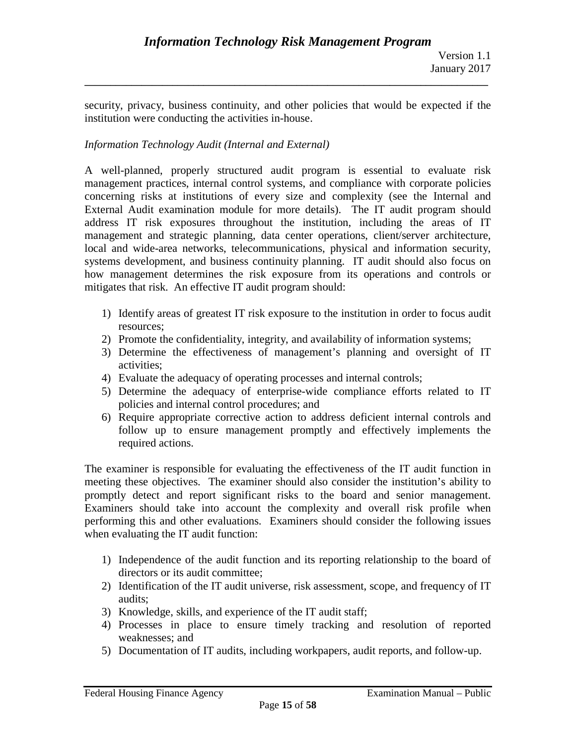security, privacy, business continuity, and other policies that would be expected if the institution were conducting the activities in-house.

**\_\_\_\_\_\_\_\_\_\_\_\_\_\_\_\_\_\_\_\_\_\_\_\_\_\_\_\_\_\_\_\_\_\_\_\_\_\_\_\_\_\_\_\_\_\_\_\_\_\_\_\_\_\_\_\_\_\_\_\_\_\_\_\_\_\_\_\_\_\_\_\_\_\_\_\_\_\_**

## *Information Technology Audit (Internal and External)*

A well-planned, properly structured audit program is essential to evaluate risk management practices, internal control systems, and compliance with corporate policies concerning risks at institutions of every size and complexity (see the Internal and External Audit examination module for more details). The IT audit program should address IT risk exposures throughout the institution, including the areas of IT management and strategic planning, data center operations, client/server architecture, local and wide-area networks, telecommunications, physical and information security, systems development, and business continuity planning. IT audit should also focus on how management determines the risk exposure from its operations and controls or mitigates that risk. An effective IT audit program should:

- 1) Identify areas of greatest IT risk exposure to the institution in order to focus audit resources;
- 2) Promote the confidentiality, integrity, and availability of information systems;
- 3) Determine the effectiveness of management's planning and oversight of IT activities;
- 4) Evaluate the adequacy of operating processes and internal controls;
- 5) Determine the adequacy of enterprise-wide compliance efforts related to IT policies and internal control procedures; and
- 6) Require appropriate corrective action to address deficient internal controls and follow up to ensure management promptly and effectively implements the required actions.

The examiner is responsible for evaluating the effectiveness of the IT audit function in meeting these objectives. The examiner should also consider the institution's ability to promptly detect and report significant risks to the board and senior management. Examiners should take into account the complexity and overall risk profile when performing this and other evaluations. Examiners should consider the following issues when evaluating the IT audit function:

- 1) Independence of the audit function and its reporting relationship to the board of directors or its audit committee;
- 2) Identification of the IT audit universe, risk assessment, scope, and frequency of IT audits;
- 3) Knowledge, skills, and experience of the IT audit staff;
- 4) Processes in place to ensure timely tracking and resolution of reported weaknesses; and
- 5) Documentation of IT audits, including workpapers, audit reports, and follow-up.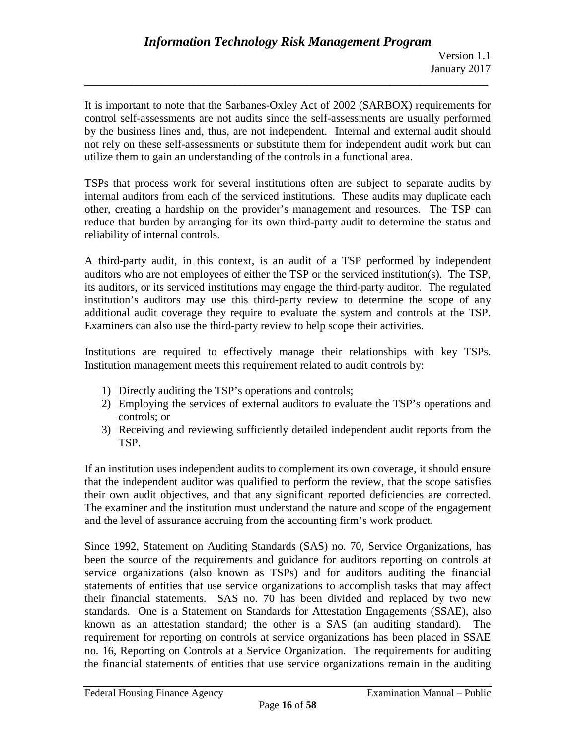It is important to note that the Sarbanes-Oxley Act of 2002 (SARBOX) requirements for control self-assessments are not audits since the self-assessments are usually performed by the business lines and, thus, are not independent. Internal and external audit should not rely on these self-assessments or substitute them for independent audit work but can utilize them to gain an understanding of the controls in a functional area.

**\_\_\_\_\_\_\_\_\_\_\_\_\_\_\_\_\_\_\_\_\_\_\_\_\_\_\_\_\_\_\_\_\_\_\_\_\_\_\_\_\_\_\_\_\_\_\_\_\_\_\_\_\_\_\_\_\_\_\_\_\_\_\_\_\_\_\_\_\_\_\_\_\_\_\_\_\_\_**

TSPs that process work for several institutions often are subject to separate audits by internal auditors from each of the serviced institutions. These audits may duplicate each other, creating a hardship on the provider's management and resources. The TSP can reduce that burden by arranging for its own third-party audit to determine the status and reliability of internal controls.

A third-party audit, in this context, is an audit of a TSP performed by independent auditors who are not employees of either the TSP or the serviced institution(s). The TSP, its auditors, or its serviced institutions may engage the third-party auditor. The regulated institution's auditors may use this third-party review to determine the scope of any additional audit coverage they require to evaluate the system and controls at the TSP. Examiners can also use the third-party review to help scope their activities.

Institutions are required to effectively manage their relationships with key TSPs. Institution management meets this requirement related to audit controls by:

- 1) Directly auditing the TSP's operations and controls;
- 2) Employing the services of external auditors to evaluate the TSP's operations and controls; or
- 3) Receiving and reviewing sufficiently detailed independent audit reports from the TSP.

If an institution uses independent audits to complement its own coverage, it should ensure that the independent auditor was qualified to perform the review, that the scope satisfies their own audit objectives, and that any significant reported deficiencies are corrected. The examiner and the institution must understand the nature and scope of the engagement and the level of assurance accruing from the accounting firm's work product.

Since 1992, Statement on Auditing Standards (SAS) no. 70, Service Organizations, has been the source of the requirements and guidance for auditors reporting on controls at service organizations (also known as TSPs) and for auditors auditing the financial statements of entities that use service organizations to accomplish tasks that may affect their financial statements. SAS no. 70 has been divided and replaced by two new standards. One is a Statement on Standards for Attestation Engagements (SSAE), also known as an attestation standard; the other is a SAS (an auditing standard). The requirement for reporting on controls at service organizations has been placed in SSAE no. 16, Reporting on Controls at a Service Organization. The requirements for auditing the financial statements of entities that use service organizations remain in the auditing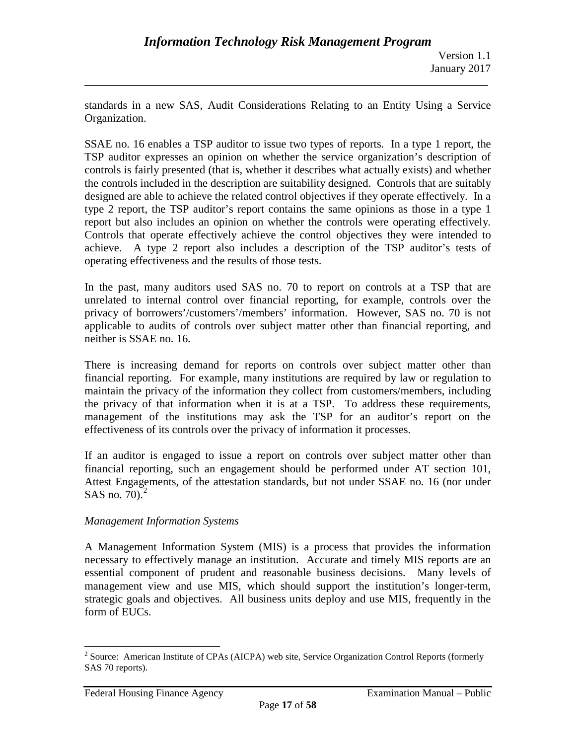standards in a new SAS, Audit Considerations Relating to an Entity Using a Service Organization.

**\_\_\_\_\_\_\_\_\_\_\_\_\_\_\_\_\_\_\_\_\_\_\_\_\_\_\_\_\_\_\_\_\_\_\_\_\_\_\_\_\_\_\_\_\_\_\_\_\_\_\_\_\_\_\_\_\_\_\_\_\_\_\_\_\_\_\_\_\_\_\_\_\_\_\_\_\_\_**

SSAE no. 16 enables a TSP auditor to issue two types of reports. In a type 1 report, the TSP auditor expresses an opinion on whether the service organization's description of controls is fairly presented (that is, whether it describes what actually exists) and whether the controls included in the description are suitability designed. Controls that are suitably designed are able to achieve the related control objectives if they operate effectively. In a type 2 report, the TSP auditor's report contains the same opinions as those in a type 1 report but also includes an opinion on whether the controls were operating effectively. Controls that operate effectively achieve the control objectives they were intended to achieve. A type 2 report also includes a description of the TSP auditor's tests of operating effectiveness and the results of those tests.

In the past, many auditors used SAS no. 70 to report on controls at a TSP that are unrelated to internal control over financial reporting, for example, controls over the privacy of borrowers'/customers'/members' information. However, SAS no. 70 is not applicable to audits of controls over subject matter other than financial reporting, and neither is SSAE no. 16.

There is increasing demand for reports on controls over subject matter other than financial reporting. For example, many institutions are required by law or regulation to maintain the privacy of the information they collect from customers/members, including the privacy of that information when it is at a TSP. To address these requirements, management of the institutions may ask the TSP for an auditor's report on the effectiveness of its controls over the privacy of information it processes.

If an auditor is engaged to issue a report on controls over subject matter other than financial reporting, such an engagement should be performed under AT section 101, Attest Engagements, of the attestation standards, but not under SSAE no. 16 (nor under SAS no. 70). $^2$  $^2$ 

## *Management Information Systems*

A Management Information System (MIS) is a process that provides the information necessary to effectively manage an institution. Accurate and timely MIS reports are an essential component of prudent and reasonable business decisions. Many levels of management view and use MIS, which should support the institution's longer-term, strategic goals and objectives. All business units deploy and use MIS, frequently in the form of EUCs.

<span id="page-16-0"></span> $2^2$  Source: American Institute of CPAs (AICPA) web site, Service Organization Control Reports (formerly SAS 70 reports).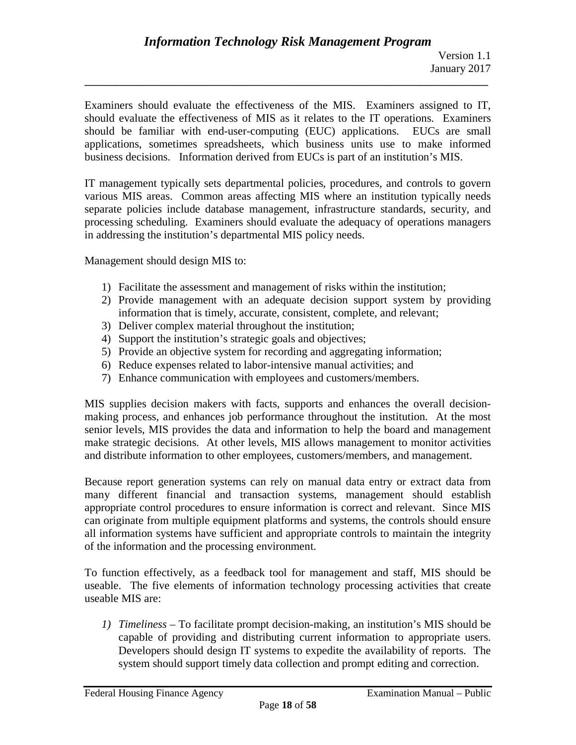Examiners should evaluate the effectiveness of the MIS. Examiners assigned to IT, should evaluate the effectiveness of MIS as it relates to the IT operations. Examiners should be familiar with end-user-computing (EUC) applications. EUCs are small applications, sometimes spreadsheets, which business units use to make informed business decisions. Information derived from EUCs is part of an institution's MIS.

**\_\_\_\_\_\_\_\_\_\_\_\_\_\_\_\_\_\_\_\_\_\_\_\_\_\_\_\_\_\_\_\_\_\_\_\_\_\_\_\_\_\_\_\_\_\_\_\_\_\_\_\_\_\_\_\_\_\_\_\_\_\_\_\_\_\_\_\_\_\_\_\_\_\_\_\_\_\_**

IT management typically sets departmental policies, procedures, and controls to govern various MIS areas. Common areas affecting MIS where an institution typically needs separate policies include database management, infrastructure standards, security, and processing scheduling. Examiners should evaluate the adequacy of operations managers in addressing the institution's departmental MIS policy needs.

Management should design MIS to:

- 1) Facilitate the assessment and management of risks within the institution;
- 2) Provide management with an adequate decision support system by providing information that is timely, accurate, consistent, complete, and relevant;
- 3) Deliver complex material throughout the institution;
- 4) Support the institution's strategic goals and objectives;
- 5) Provide an objective system for recording and aggregating information;
- 6) Reduce expenses related to labor-intensive manual activities; and
- 7) Enhance communication with employees and customers/members.

MIS supplies decision makers with facts, supports and enhances the overall decisionmaking process, and enhances job performance throughout the institution. At the most senior levels, MIS provides the data and information to help the board and management make strategic decisions. At other levels, MIS allows management to monitor activities and distribute information to other employees, customers/members, and management.

Because report generation systems can rely on manual data entry or extract data from many different financial and transaction systems, management should establish appropriate control procedures to ensure information is correct and relevant. Since MIS can originate from multiple equipment platforms and systems, the controls should ensure all information systems have sufficient and appropriate controls to maintain the integrity of the information and the processing environment.

To function effectively, as a feedback tool for management and staff, MIS should be useable. The five elements of information technology processing activities that create useable MIS are:

*1) Timeliness* – To facilitate prompt decision-making, an institution's MIS should be capable of providing and distributing current information to appropriate users. Developers should design IT systems to expedite the availability of reports. The system should support timely data collection and prompt editing and correction.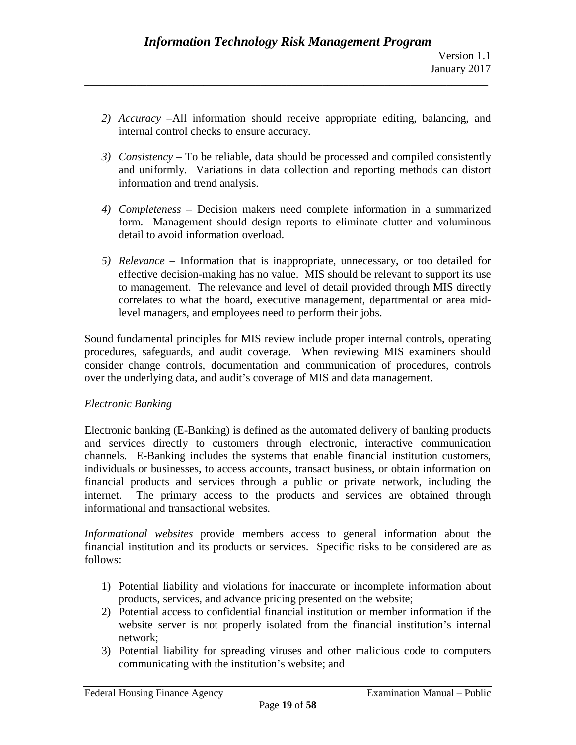*2) Accuracy* –All information should receive appropriate editing, balancing, and internal control checks to ensure accuracy.

**\_\_\_\_\_\_\_\_\_\_\_\_\_\_\_\_\_\_\_\_\_\_\_\_\_\_\_\_\_\_\_\_\_\_\_\_\_\_\_\_\_\_\_\_\_\_\_\_\_\_\_\_\_\_\_\_\_\_\_\_\_\_\_\_\_\_\_\_\_\_\_\_\_\_\_\_\_\_**

- *3) Consistency* To be reliable, data should be processed and compiled consistently and uniformly. Variations in data collection and reporting methods can distort information and trend analysis.
- *4) Completeness* Decision makers need complete information in a summarized form. Management should design reports to eliminate clutter and voluminous detail to avoid information overload.
- *5) Relevance* Information that is inappropriate, unnecessary, or too detailed for effective decision-making has no value. MIS should be relevant to support its use to management. The relevance and level of detail provided through MIS directly correlates to what the board, executive management, departmental or area midlevel managers, and employees need to perform their jobs.

Sound fundamental principles for MIS review include proper internal controls, operating procedures, safeguards, and audit coverage. When reviewing MIS examiners should consider change controls, documentation and communication of procedures, controls over the underlying data, and audit's coverage of MIS and data management.

## *Electronic Banking*

Electronic banking (E-Banking) is defined as the automated delivery of banking products and services directly to customers through electronic, interactive communication channels. E-Banking includes the systems that enable financial institution customers, individuals or businesses, to access accounts, transact business, or obtain information on financial products and services through a public or private network, including the internet. The primary access to the products and services are obtained through informational and transactional websites.

*Informational websites* provide members access to general information about the financial institution and its products or services. Specific risks to be considered are as follows:

- 1) Potential liability and violations for inaccurate or incomplete information about products, services, and advance pricing presented on the website;
- 2) Potential access to confidential financial institution or member information if the website server is not properly isolated from the financial institution's internal network;
- 3) Potential liability for spreading viruses and other malicious code to computers communicating with the institution's website; and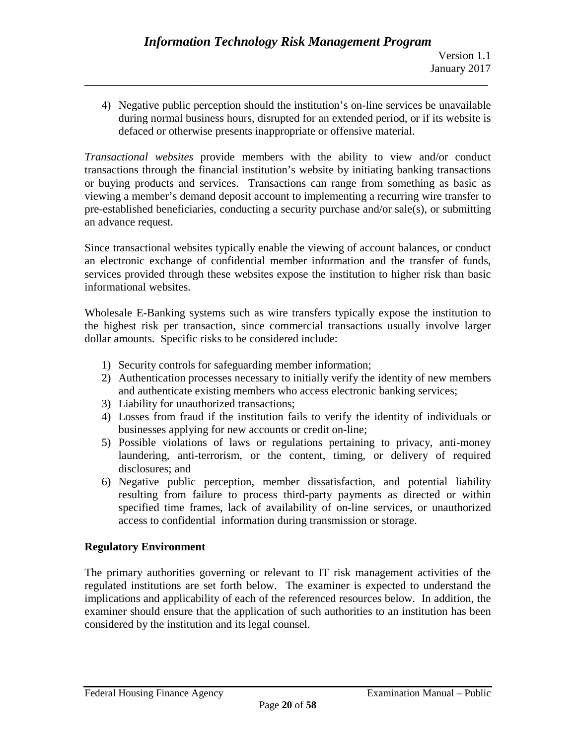4) Negative public perception should the institution's on-line services be unavailable during normal business hours, disrupted for an extended period, or if its website is defaced or otherwise presents inappropriate or offensive material.

**\_\_\_\_\_\_\_\_\_\_\_\_\_\_\_\_\_\_\_\_\_\_\_\_\_\_\_\_\_\_\_\_\_\_\_\_\_\_\_\_\_\_\_\_\_\_\_\_\_\_\_\_\_\_\_\_\_\_\_\_\_\_\_\_\_\_\_\_\_\_\_\_\_\_\_\_\_\_**

*Transactional websites* provide members with the ability to view and/or conduct transactions through the financial institution's website by initiating banking transactions or buying products and services. Transactions can range from something as basic as viewing a member's demand deposit account to implementing a recurring wire transfer to pre-established beneficiaries, conducting a security purchase and/or sale(s), or submitting an advance request.

Since transactional websites typically enable the viewing of account balances, or conduct an electronic exchange of confidential member information and the transfer of funds, services provided through these websites expose the institution to higher risk than basic informational websites.

Wholesale E-Banking systems such as wire transfers typically expose the institution to the highest risk per transaction, since commercial transactions usually involve larger dollar amounts. Specific risks to be considered include:

- 1) Security controls for safeguarding member information;
- 2) Authentication processes necessary to initially verify the identity of new members and authenticate existing members who access electronic banking services;
- 3) Liability for unauthorized transactions;
- 4) Losses from fraud if the institution fails to verify the identity of individuals or businesses applying for new accounts or credit on-line;
- 5) Possible violations of laws or regulations pertaining to privacy, anti-money laundering, anti-terrorism, or the content, timing, or delivery of required disclosures; and
- 6) Negative public perception, member dissatisfaction, and potential liability resulting from failure to process third-party payments as directed or within specified time frames, lack of availability of on-line services, or unauthorized access to confidential information during transmission or storage.

# **Regulatory Environment**

The primary authorities governing or relevant to IT risk management activities of the regulated institutions are set forth below. The examiner is expected to understand the implications and applicability of each of the referenced resources below. In addition, the examiner should ensure that the application of such authorities to an institution has been considered by the institution and its legal counsel.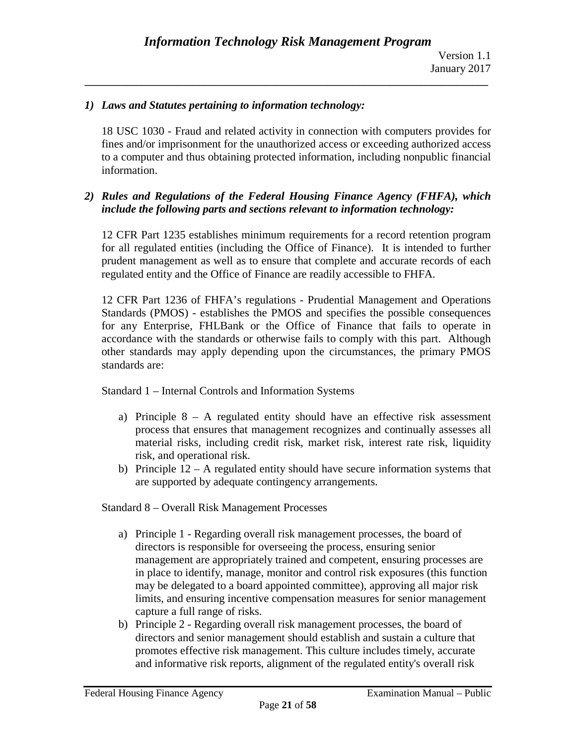#### *1) Laws and Statutes pertaining to information technology:*

18 USC 1030 - Fraud and related activity in connection with computers provides for fines and/or imprisonment for the unauthorized access or exceeding authorized access to a computer and thus obtaining protected information, including nonpublic financial information.

#### *2) Rules and Regulations of the Federal Housing Finance Agency (FHFA), which include the following parts and sections relevant to information technology:*

12 CFR Part 1235 establishes minimum requirements for a record retention program for all regulated entities (including the Office of Finance). It is intended to further prudent management as well as to ensure that complete and accurate records of each regulated entity and the Office of Finance are readily accessible to FHFA.

12 CFR Part 1236 of FHFA's regulations - Prudential Management and Operations Standards (PMOS) - establishes the PMOS and specifies the possible consequences for any Enterprise, FHLBank or the Office of Finance that fails to operate in accordance with the standards or otherwise fails to comply with this part. Although other standards may apply depending upon the circumstances, the primary PMOS standards are:

Standard 1 – Internal Controls and Information Systems

- a) Principle  $8 A$  regulated entity should have an effective risk assessment process that ensures that management recognizes and continually assesses all material risks, including credit risk, market risk, interest rate risk, liquidity risk, and operational risk.
- b) Principle  $12 A$  regulated entity should have secure information systems that are supported by adequate contingency arrangements.

Standard 8 – Overall Risk Management Processes

- a) Principle 1 Regarding overall risk management processes, the board of directors is responsible for overseeing the process, ensuring senior management are appropriately trained and competent, ensuring processes are in place to identify, manage, monitor and control risk exposures (this function may be delegated to a board appointed committee), approving all major risk limits, and ensuring incentive compensation measures for senior management capture a full range of risks.
- b) Principle 2 Regarding overall risk management processes, the board of directors and senior management should establish and sustain a culture that promotes effective risk management. This culture includes timely, accurate and informative risk reports, alignment of the regulated entity's overall risk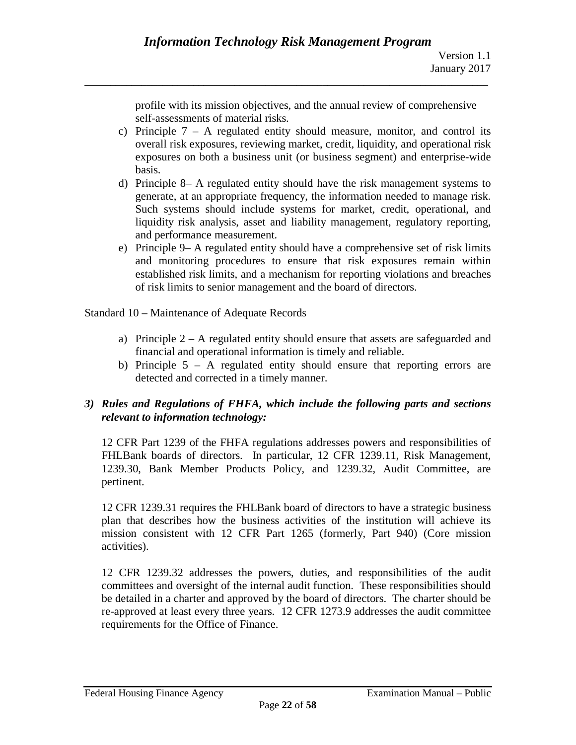profile with its mission objectives, and the annual review of comprehensive self-assessments of material risks.

- c) Principle  $7 A$  regulated entity should measure, monitor, and control its overall risk exposures, reviewing market, credit, liquidity, and operational risk exposures on both a business unit (or business segment) and enterprise-wide basis.
- d) Principle 8– A regulated entity should have the risk management systems to generate, at an appropriate frequency, the information needed to manage risk. Such systems should include systems for market, credit, operational, and liquidity risk analysis, asset and liability management, regulatory reporting, and performance measurement.
- e) Principle 9– A regulated entity should have a comprehensive set of risk limits and monitoring procedures to ensure that risk exposures remain within established risk limits, and a mechanism for reporting violations and breaches of risk limits to senior management and the board of directors.

Standard 10 – Maintenance of Adequate Records

- a) Principle 2 A regulated entity should ensure that assets are safeguarded and financial and operational information is timely and reliable.
- b) Principle 5 A regulated entity should ensure that reporting errors are detected and corrected in a timely manner.

## *3) Rules and Regulations of FHFA, which include the following parts and sections relevant to information technology:*

12 CFR Part 1239 of the FHFA regulations addresses powers and responsibilities of FHLBank boards of directors. In particular, 12 CFR 1239.11, Risk Management, 1239.30, Bank Member Products Policy, and 1239.32, Audit Committee, are pertinent.

12 CFR 1239.31 requires the FHLBank board of directors to have a strategic business plan that describes how the business activities of the institution will achieve its mission consistent with 12 CFR Part 1265 (formerly, Part 940) (Core mission activities).

12 CFR 1239.32 addresses the powers, duties, and responsibilities of the audit committees and oversight of the internal audit function. These responsibilities should be detailed in a charter and approved by the board of directors. The charter should be re-approved at least every three years. 12 CFR 1273.9 addresses the audit committee requirements for the Office of Finance.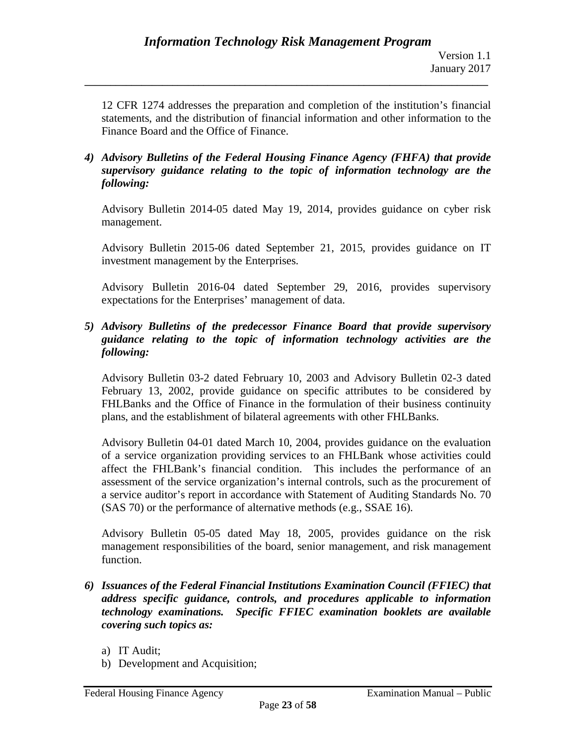12 CFR 1274 addresses the preparation and completion of the institution's financial statements, and the distribution of financial information and other information to the Finance Board and the Office of Finance.

**\_\_\_\_\_\_\_\_\_\_\_\_\_\_\_\_\_\_\_\_\_\_\_\_\_\_\_\_\_\_\_\_\_\_\_\_\_\_\_\_\_\_\_\_\_\_\_\_\_\_\_\_\_\_\_\_\_\_\_\_\_\_\_\_\_\_\_\_\_\_\_\_\_\_\_\_\_\_**

*4) Advisory Bulletins of the Federal Housing Finance Agency (FHFA) that provide supervisory guidance relating to the topic of information technology are the following:*

Advisory Bulletin 2014-05 dated May 19, 2014, provides guidance on cyber risk management.

Advisory Bulletin 2015-06 dated September 21, 2015, provides guidance on IT investment management by the Enterprises.

Advisory Bulletin 2016-04 dated September 29, 2016, provides supervisory expectations for the Enterprises' management of data.

*5) Advisory Bulletins of the predecessor Finance Board that provide supervisory guidance relating to the topic of information technology activities are the following:*

Advisory Bulletin 03-2 dated February 10, 2003 and Advisory Bulletin 02-3 dated February 13, 2002, provide guidance on specific attributes to be considered by FHLBanks and the Office of Finance in the formulation of their business continuity plans, and the establishment of bilateral agreements with other FHLBanks.

Advisory Bulletin 04-01 dated March 10, 2004, provides guidance on the evaluation of a service organization providing services to an FHLBank whose activities could affect the FHLBank's financial condition. This includes the performance of an assessment of the service organization's internal controls, such as the procurement of a service auditor's report in accordance with Statement of Auditing Standards No. 70 (SAS 70) or the performance of alternative methods (e.g., SSAE 16).

Advisory Bulletin 05-05 dated May 18, 2005, provides guidance on the risk management responsibilities of the board, senior management, and risk management function.

- *6) Issuances of the Federal Financial Institutions Examination Council (FFIEC) that address specific guidance, controls, and procedures applicable to information technology examinations. Specific FFIEC examination booklets are available covering such topics as:*
	- a) IT Audit;
	- b) Development and Acquisition;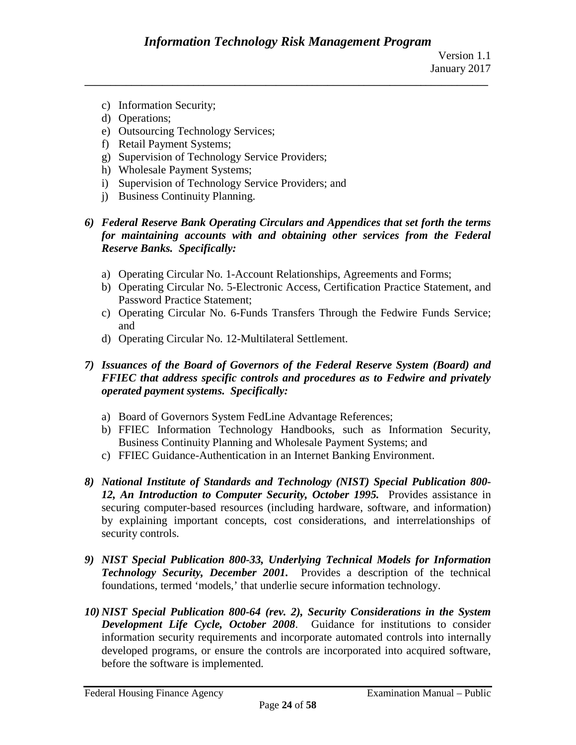- c) Information Security;
- d) Operations;
- e) Outsourcing Technology Services;
- f) Retail Payment Systems;
- g) Supervision of Technology Service Providers;
- h) Wholesale Payment Systems;
- i) Supervision of Technology Service Providers; and
- j) Business Continuity Planning.
- *6) Federal Reserve Bank Operating Circulars and Appendices that set forth the terms for maintaining accounts with and obtaining other services from the Federal Reserve Banks. Specifically:*
	- a) Operating Circular No. 1-Account Relationships, Agreements and Forms;
	- b) Operating Circular No. 5-Electronic Access, Certification Practice Statement, and Password Practice Statement;
	- c) Operating Circular No. 6-Funds Transfers Through the Fedwire Funds Service; and
	- d) Operating Circular No. 12-Multilateral Settlement.

## *7) Issuances of the Board of Governors of the Federal Reserve System (Board) and FFIEC that address specific controls and procedures as to Fedwire and privately operated payment systems. Specifically:*

- a) Board of Governors System FedLine Advantage References;
- b) FFIEC Information Technology Handbooks, such as Information Security, Business Continuity Planning and Wholesale Payment Systems; and
- c) FFIEC Guidance-Authentication in an Internet Banking Environment.
- *8) National Institute of Standards and Technology (NIST) Special Publication 800- 12, An Introduction to Computer Security, October 1995.* Provides assistance in securing computer-based resources (including hardware, software, and information) by explaining important concepts, cost considerations, and interrelationships of security controls.
- *9) NIST Special Publication 800-33, Underlying Technical Models for Information Technology Security, December 2001.* Provides a description of the technical foundations, termed 'models,' that underlie secure information technology.
- *10) NIST Special Publication 800-64 (rev. 2), Security Considerations in the System Development Life Cycle, October 2008*. Guidance for institutions to consider information security requirements and incorporate automated controls into internally developed programs, or ensure the controls are incorporated into acquired software, before the software is implemented.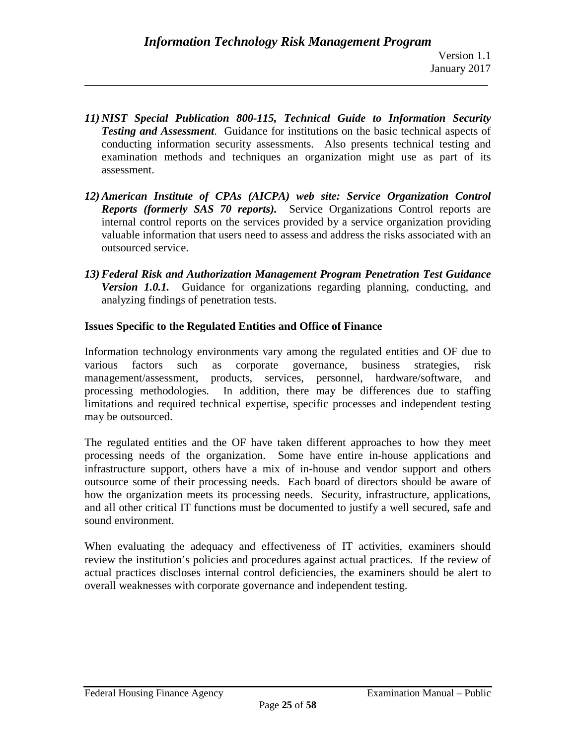*11) NIST Special Publication 800-115, Technical Guide to Information Security Testing and Assessment*. Guidance for institutions on the basic technical aspects of conducting information security assessments. Also presents technical testing and examination methods and techniques an organization might use as part of its assessment.

**\_\_\_\_\_\_\_\_\_\_\_\_\_\_\_\_\_\_\_\_\_\_\_\_\_\_\_\_\_\_\_\_\_\_\_\_\_\_\_\_\_\_\_\_\_\_\_\_\_\_\_\_\_\_\_\_\_\_\_\_\_\_\_\_\_\_\_\_\_\_\_\_\_\_\_\_\_\_**

- *12) American Institute of CPAs (AICPA) web site: Service Organization Control Reports (formerly SAS 70 reports).* Service Organizations Control reports are internal control reports on the services provided by a service organization providing valuable information that users need to assess and address the risks associated with an outsourced service.
- *13) Federal Risk and Authorization Management Program Penetration Test Guidance Version 1.0.1.* Guidance for organizations regarding planning, conducting, and analyzing findings of penetration tests.

## **Issues Specific to the Regulated Entities and Office of Finance**

Information technology environments vary among the regulated entities and OF due to various factors such as corporate governance, business strategies, risk management/assessment, products, services, personnel, hardware/software, and processing methodologies. In addition, there may be differences due to staffing limitations and required technical expertise, specific processes and independent testing may be outsourced.

The regulated entities and the OF have taken different approaches to how they meet processing needs of the organization. Some have entire in-house applications and infrastructure support, others have a mix of in-house and vendor support and others outsource some of their processing needs. Each board of directors should be aware of how the organization meets its processing needs. Security, infrastructure, applications, and all other critical IT functions must be documented to justify a well secured, safe and sound environment.

When evaluating the adequacy and effectiveness of IT activities, examiners should review the institution's policies and procedures against actual practices. If the review of actual practices discloses internal control deficiencies, the examiners should be alert to overall weaknesses with corporate governance and independent testing.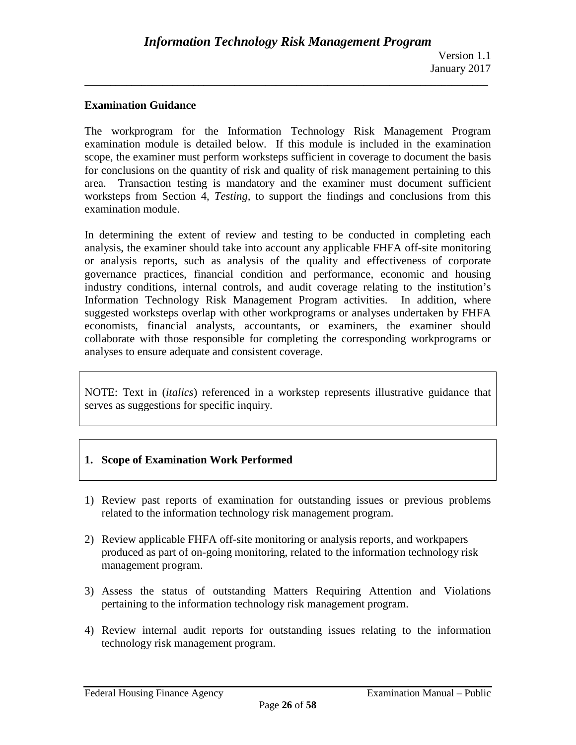#### **Examination Guidance**

The workprogram for the Information Technology Risk Management Program examination module is detailed below. If this module is included in the examination scope, the examiner must perform worksteps sufficient in coverage to document the basis for conclusions on the quantity of risk and quality of risk management pertaining to this area. Transaction testing is mandatory and the examiner must document sufficient worksteps from Section 4, *Testing,* to support the findings and conclusions from this examination module.

**\_\_\_\_\_\_\_\_\_\_\_\_\_\_\_\_\_\_\_\_\_\_\_\_\_\_\_\_\_\_\_\_\_\_\_\_\_\_\_\_\_\_\_\_\_\_\_\_\_\_\_\_\_\_\_\_\_\_\_\_\_\_\_\_\_\_\_\_\_\_\_\_\_\_\_\_\_\_**

In determining the extent of review and testing to be conducted in completing each analysis, the examiner should take into account any applicable FHFA off-site monitoring or analysis reports, such as analysis of the quality and effectiveness of corporate governance practices, financial condition and performance, economic and housing industry conditions, internal controls, and audit coverage relating to the institution's Information Technology Risk Management Program activities. In addition, where suggested worksteps overlap with other workprograms or analyses undertaken by FHFA economists, financial analysts, accountants, or examiners, the examiner should collaborate with those responsible for completing the corresponding workprograms or analyses to ensure adequate and consistent coverage.

NOTE: Text in (*italics*) referenced in a workstep represents illustrative guidance that serves as suggestions for specific inquiry.

#### **1. Scope of Examination Work Performed**

- 1) Review past reports of examination for outstanding issues or previous problems related to the information technology risk management program.
- 2) Review applicable FHFA off-site monitoring or analysis reports, and workpapers produced as part of on-going monitoring, related to the information technology risk management program.
- 3) Assess the status of outstanding Matters Requiring Attention and Violations pertaining to the information technology risk management program.
- 4) Review internal audit reports for outstanding issues relating to the information technology risk management program.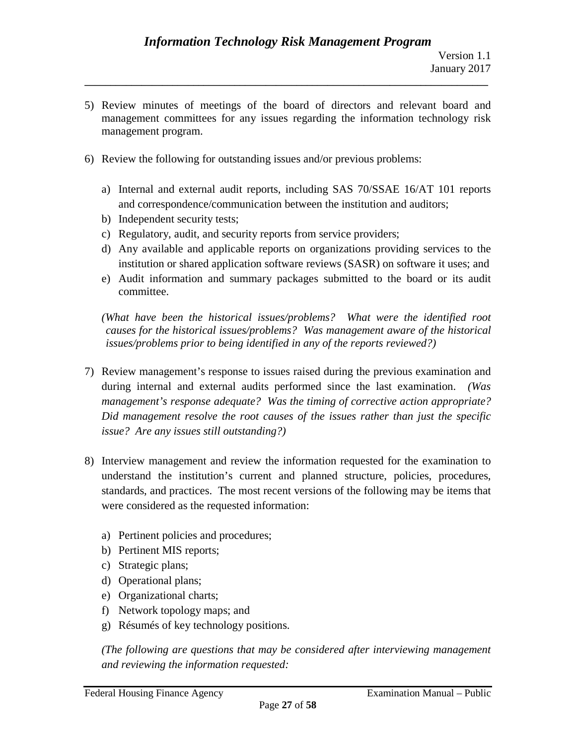5) Review minutes of meetings of the board of directors and relevant board and management committees for any issues regarding the information technology risk management program.

**\_\_\_\_\_\_\_\_\_\_\_\_\_\_\_\_\_\_\_\_\_\_\_\_\_\_\_\_\_\_\_\_\_\_\_\_\_\_\_\_\_\_\_\_\_\_\_\_\_\_\_\_\_\_\_\_\_\_\_\_\_\_\_\_\_\_\_\_\_\_\_\_\_\_\_\_\_\_**

- 6) Review the following for outstanding issues and/or previous problems:
	- a) Internal and external audit reports, including SAS 70/SSAE 16/AT 101 reports and correspondence/communication between the institution and auditors;
	- b) Independent security tests;
	- c) Regulatory, audit, and security reports from service providers;
	- d) Any available and applicable reports on organizations providing services to the institution or shared application software reviews (SASR) on software it uses; and
	- e) Audit information and summary packages submitted to the board or its audit committee.

*(What have been the historical issues/problems? What were the identified root causes for the historical issues/problems? Was management aware of the historical issues/problems prior to being identified in any of the reports reviewed?)*

- 7) Review management's response to issues raised during the previous examination and during internal and external audits performed since the last examination. *(Was management's response adequate? Was the timing of corrective action appropriate? Did management resolve the root causes of the issues rather than just the specific issue? Are any issues still outstanding?)*
- 8) Interview management and review the information requested for the examination to understand the institution's current and planned structure, policies, procedures, standards, and practices. The most recent versions of the following may be items that were considered as the requested information:
	- a) Pertinent policies and procedures;
	- b) Pertinent MIS reports;
	- c) Strategic plans;
	- d) Operational plans;
	- e) Organizational charts;
	- f) Network topology maps; and
	- g) Résumés of key technology positions.

*(The following are questions that may be considered after interviewing management and reviewing the information requested:*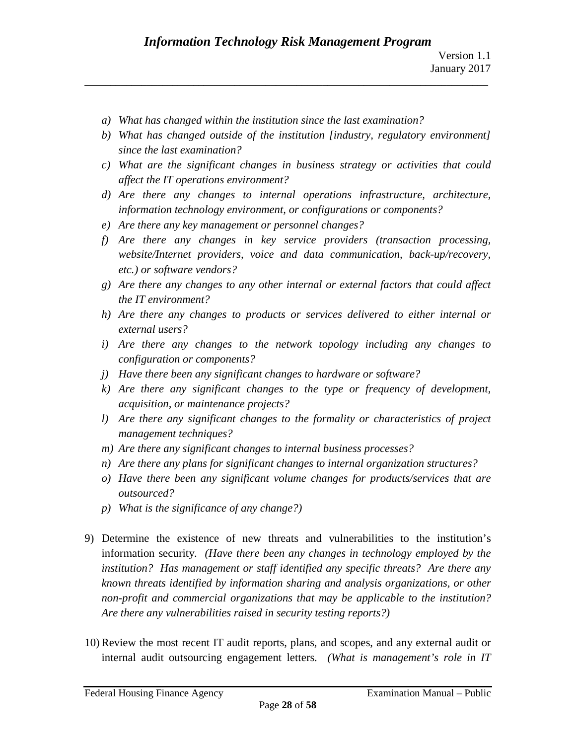- *a) What has changed within the institution since the last examination?*
- *b) What has changed outside of the institution [industry, regulatory environment] since the last examination?*
- *c) What are the significant changes in business strategy or activities that could affect the IT operations environment?*
- *d) Are there any changes to internal operations infrastructure, architecture, information technology environment, or configurations or components?*
- *e) Are there any key management or personnel changes?*
- *f) Are there any changes in key service providers (transaction processing, website/Internet providers, voice and data communication, back-up/recovery, etc.) or software vendors?*
- *g) Are there any changes to any other internal or external factors that could affect the IT environment?*
- *h) Are there any changes to products or services delivered to either internal or external users?*
- *i) Are there any changes to the network topology including any changes to configuration or components?*
- *j) Have there been any significant changes to hardware or software?*
- *k) Are there any significant changes to the type or frequency of development, acquisition, or maintenance projects?*
- *l) Are there any significant changes to the formality or characteristics of project management techniques?*
- *m) Are there any significant changes to internal business processes?*
- *n) Are there any plans for significant changes to internal organization structures?*
- *o) Have there been any significant volume changes for products/services that are outsourced?*
- *p) What is the significance of any change?)*
- 9) Determine the existence of new threats and vulnerabilities to the institution's information security. *(Have there been any changes in technology employed by the institution? Has management or staff identified any specific threats? Are there any known threats identified by information sharing and analysis organizations, or other non-profit and commercial organizations that may be applicable to the institution? Are there any vulnerabilities raised in security testing reports?)*
- 10) Review the most recent IT audit reports, plans, and scopes, and any external audit or internal audit outsourcing engagement letters. *(What is management's role in IT*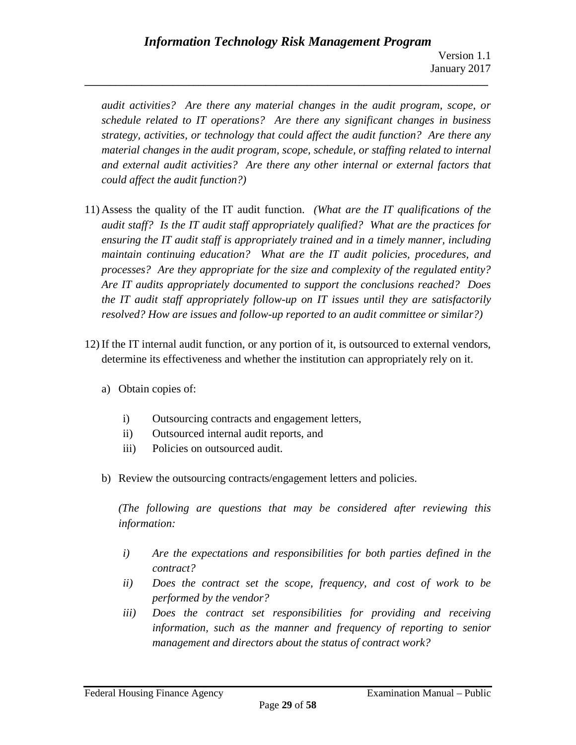*audit activities? Are there any material changes in the audit program, scope, or schedule related to IT operations? Are there any significant changes in business strategy, activities, or technology that could affect the audit function? Are there any material changes in the audit program, scope, schedule, or staffing related to internal and external audit activities? Are there any other internal or external factors that could affect the audit function?)*

**\_\_\_\_\_\_\_\_\_\_\_\_\_\_\_\_\_\_\_\_\_\_\_\_\_\_\_\_\_\_\_\_\_\_\_\_\_\_\_\_\_\_\_\_\_\_\_\_\_\_\_\_\_\_\_\_\_\_\_\_\_\_\_\_\_\_\_\_\_\_\_\_\_\_\_\_\_\_**

- 11) Assess the quality of the IT audit function. *(What are the IT qualifications of the audit staff? Is the IT audit staff appropriately qualified? What are the practices for ensuring the IT audit staff is appropriately trained and in a timely manner, including maintain continuing education? What are the IT audit policies, procedures, and processes? Are they appropriate for the size and complexity of the regulated entity? Are IT audits appropriately documented to support the conclusions reached? Does the IT audit staff appropriately follow-up on IT issues until they are satisfactorily resolved? How are issues and follow-up reported to an audit committee or similar?)*
- 12) If the IT internal audit function, or any portion of it, is outsourced to external vendors, determine its effectiveness and whether the institution can appropriately rely on it.
	- a) Obtain copies of:
		- i) Outsourcing contracts and engagement letters,
		- ii) Outsourced internal audit reports, and
		- iii) Policies on outsourced audit.
	- b) Review the outsourcing contracts/engagement letters and policies.

*(The following are questions that may be considered after reviewing this information:*

- *i) Are the expectations and responsibilities for both parties defined in the contract?*
- *ii) Does the contract set the scope, frequency, and cost of work to be performed by the vendor?*
- *iii) Does the contract set responsibilities for providing and receiving information, such as the manner and frequency of reporting to senior management and directors about the status of contract work?*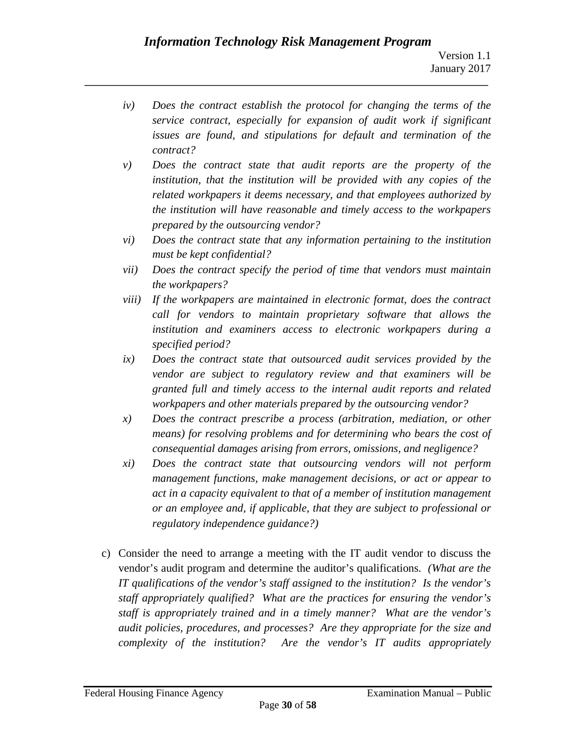- *iv) Does the contract establish the protocol for changing the terms of the service contract, especially for expansion of audit work if significant issues are found, and stipulations for default and termination of the contract?*
- *v) Does the contract state that audit reports are the property of the institution, that the institution will be provided with any copies of the related workpapers it deems necessary, and that employees authorized by the institution will have reasonable and timely access to the workpapers prepared by the outsourcing vendor?*
- *vi) Does the contract state that any information pertaining to the institution must be kept confidential?*
- *vii) Does the contract specify the period of time that vendors must maintain the workpapers?*
- *viii) If the workpapers are maintained in electronic format, does the contract call for vendors to maintain proprietary software that allows the institution and examiners access to electronic workpapers during a specified period?*
- *ix) Does the contract state that outsourced audit services provided by the vendor are subject to regulatory review and that examiners will be granted full and timely access to the internal audit reports and related workpapers and other materials prepared by the outsourcing vendor?*
- *x) Does the contract prescribe a process (arbitration, mediation, or other means) for resolving problems and for determining who bears the cost of consequential damages arising from errors, omissions, and negligence?*
- *xi) Does the contract state that outsourcing vendors will not perform management functions, make management decisions, or act or appear to act in a capacity equivalent to that of a member of institution management or an employee and, if applicable, that they are subject to professional or regulatory independence guidance?)*
- c) Consider the need to arrange a meeting with the IT audit vendor to discuss the vendor's audit program and determine the auditor's qualifications. *(What are the IT qualifications of the vendor's staff assigned to the institution? Is the vendor's staff appropriately qualified? What are the practices for ensuring the vendor's staff is appropriately trained and in a timely manner? What are the vendor's audit policies, procedures, and processes? Are they appropriate for the size and complexity of the institution? Are the vendor's IT audits appropriately*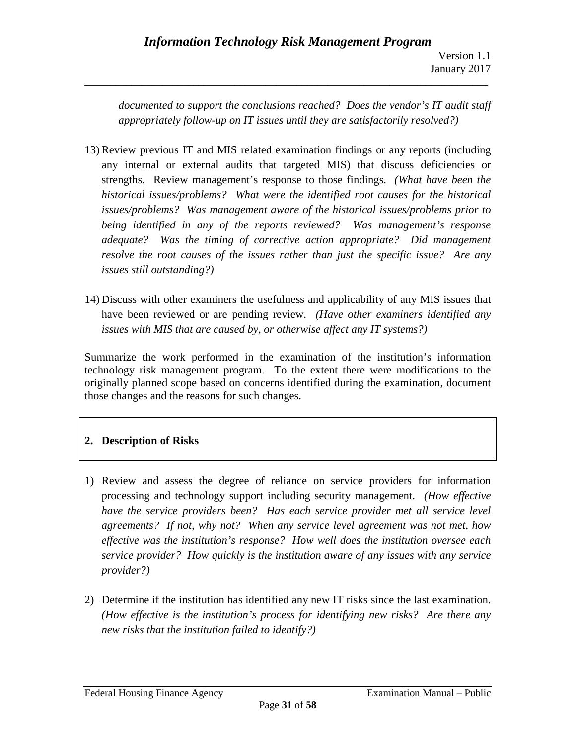*documented to support the conclusions reached? Does the vendor's IT audit staff appropriately follow-up on IT issues until they are satisfactorily resolved?)*

**\_\_\_\_\_\_\_\_\_\_\_\_\_\_\_\_\_\_\_\_\_\_\_\_\_\_\_\_\_\_\_\_\_\_\_\_\_\_\_\_\_\_\_\_\_\_\_\_\_\_\_\_\_\_\_\_\_\_\_\_\_\_\_\_\_\_\_\_\_\_\_\_\_\_\_\_\_\_**

- 13) Review previous IT and MIS related examination findings or any reports (including any internal or external audits that targeted MIS) that discuss deficiencies or strengths. Review management's response to those findings. *(What have been the historical issues/problems? What were the identified root causes for the historical issues/problems? Was management aware of the historical issues/problems prior to being identified in any of the reports reviewed? Was management's response adequate? Was the timing of corrective action appropriate? Did management resolve the root causes of the issues rather than just the specific issue? Are any issues still outstanding?)*
- 14) Discuss with other examiners the usefulness and applicability of any MIS issues that have been reviewed or are pending review. *(Have other examiners identified any issues with MIS that are caused by, or otherwise affect any IT systems?)*

Summarize the work performed in the examination of the institution's information technology risk management program. To the extent there were modifications to the originally planned scope based on concerns identified during the examination, document those changes and the reasons for such changes.

# **2. Description of Risks**

- 1) Review and assess the degree of reliance on service providers for information processing and technology support including security management. *(How effective have the service providers been? Has each service provider met all service level agreements? If not, why not? When any service level agreement was not met, how effective was the institution's response? How well does the institution oversee each service provider? How quickly is the institution aware of any issues with any service provider?)*
- 2) Determine if the institution has identified any new IT risks since the last examination. *(How effective is the institution's process for identifying new risks? Are there any new risks that the institution failed to identify?)*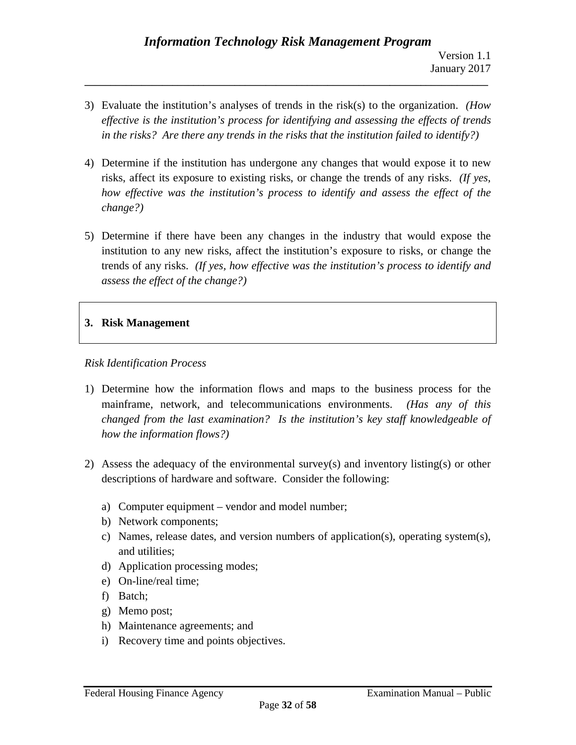3) Evaluate the institution's analyses of trends in the risk(s) to the organization. *(How effective is the institution's process for identifying and assessing the effects of trends in the risks? Are there any trends in the risks that the institution failed to identify?)*

**\_\_\_\_\_\_\_\_\_\_\_\_\_\_\_\_\_\_\_\_\_\_\_\_\_\_\_\_\_\_\_\_\_\_\_\_\_\_\_\_\_\_\_\_\_\_\_\_\_\_\_\_\_\_\_\_\_\_\_\_\_\_\_\_\_\_\_\_\_\_\_\_\_\_\_\_\_\_**

- 4) Determine if the institution has undergone any changes that would expose it to new risks, affect its exposure to existing risks, or change the trends of any risks. *(If yes, how effective was the institution's process to identify and assess the effect of the change?)*
- 5) Determine if there have been any changes in the industry that would expose the institution to any new risks, affect the institution's exposure to risks, or change the trends of any risks. *(If yes, how effective was the institution's process to identify and assess the effect of the change?)*

# **3. Risk Management**

## *Risk Identification Process*

- 1) Determine how the information flows and maps to the business process for the mainframe, network, and telecommunications environments. *(Has any of this changed from the last examination? Is the institution's key staff knowledgeable of how the information flows?)*
- 2) Assess the adequacy of the environmental survey(s) and inventory listing(s) or other descriptions of hardware and software. Consider the following:
	- a) Computer equipment vendor and model number;
	- b) Network components;
	- c) Names, release dates, and version numbers of application(s), operating system(s), and utilities;
	- d) Application processing modes;
	- e) On-line/real time;
	- f) Batch;
	- g) Memo post;
	- h) Maintenance agreements; and
	- i) Recovery time and points objectives.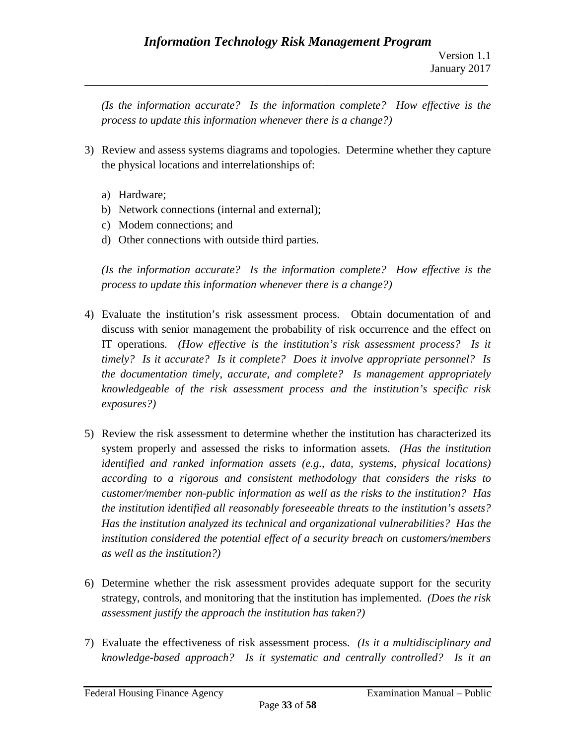*(Is the information accurate? Is the information complete? How effective is the process to update this information whenever there is a change?)*

- 3) Review and assess systems diagrams and topologies. Determine whether they capture the physical locations and interrelationships of:
	- a) Hardware;
	- b) Network connections (internal and external);
	- c) Modem connections; and
	- d) Other connections with outside third parties.

*(Is the information accurate? Is the information complete? How effective is the process to update this information whenever there is a change?)*

- 4) Evaluate the institution's risk assessment process. Obtain documentation of and discuss with senior management the probability of risk occurrence and the effect on IT operations. *(How effective is the institution's risk assessment process? Is it timely? Is it accurate? Is it complete? Does it involve appropriate personnel? Is the documentation timely, accurate, and complete? Is management appropriately knowledgeable of the risk assessment process and the institution's specific risk exposures?)*
- 5) Review the risk assessment to determine whether the institution has characterized its system properly and assessed the risks to information assets. *(Has the institution identified and ranked information assets (e.g., data, systems, physical locations) according to a rigorous and consistent methodology that considers the risks to customer/member non-public information as well as the risks to the institution? Has the institution identified all reasonably foreseeable threats to the institution's assets? Has the institution analyzed its technical and organizational vulnerabilities? Has the institution considered the potential effect of a security breach on customers/members as well as the institution?)*
- 6) Determine whether the risk assessment provides adequate support for the security strategy, controls, and monitoring that the institution has implemented. *(Does the risk assessment justify the approach the institution has taken?)*
- 7) Evaluate the effectiveness of risk assessment process. *(Is it a multidisciplinary and knowledge-based approach? Is it systematic and centrally controlled? Is it an*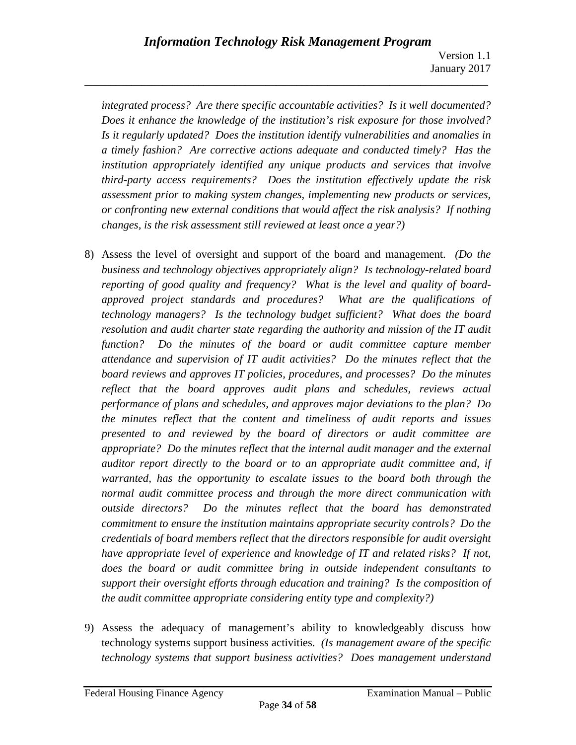Version 1.1 January 2017

*integrated process? Are there specific accountable activities? Is it well documented? Does it enhance the knowledge of the institution's risk exposure for those involved? Is it regularly updated? Does the institution identify vulnerabilities and anomalies in a timely fashion? Are corrective actions adequate and conducted timely? Has the institution appropriately identified any unique products and services that involve third-party access requirements? Does the institution effectively update the risk assessment prior to making system changes, implementing new products or services, or confronting new external conditions that would affect the risk analysis? If nothing changes, is the risk assessment still reviewed at least once a year?)*

- 8) Assess the level of oversight and support of the board and management. *(Do the business and technology objectives appropriately align? Is technology-related board reporting of good quality and frequency? What is the level and quality of boardapproved project standards and procedures? What are the qualifications of technology managers? Is the technology budget sufficient? What does the board resolution and audit charter state regarding the authority and mission of the IT audit function? Do the minutes of the board or audit committee capture member attendance and supervision of IT audit activities? Do the minutes reflect that the board reviews and approves IT policies, procedures, and processes? Do the minutes reflect that the board approves audit plans and schedules, reviews actual performance of plans and schedules, and approves major deviations to the plan? Do the minutes reflect that the content and timeliness of audit reports and issues presented to and reviewed by the board of directors or audit committee are appropriate? Do the minutes reflect that the internal audit manager and the external auditor report directly to the board or to an appropriate audit committee and, if warranted, has the opportunity to escalate issues to the board both through the normal audit committee process and through the more direct communication with outside directors? Do the minutes reflect that the board has demonstrated commitment to ensure the institution maintains appropriate security controls? Do the credentials of board members reflect that the directors responsible for audit oversight have appropriate level of experience and knowledge of IT and related risks? If not, does the board or audit committee bring in outside independent consultants to support their oversight efforts through education and training? Is the composition of the audit committee appropriate considering entity type and complexity?)*
- 9) Assess the adequacy of management's ability to knowledgeably discuss how technology systems support business activities. *(Is management aware of the specific technology systems that support business activities? Does management understand*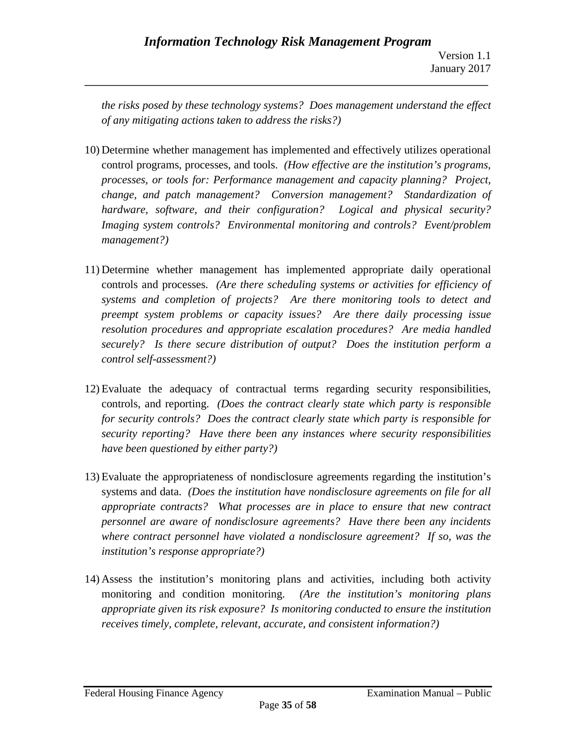*the risks posed by these technology systems? Does management understand the effect of any mitigating actions taken to address the risks?)*

- 10) Determine whether management has implemented and effectively utilizes operational control programs, processes, and tools. *(How effective are the institution's programs, processes, or tools for: Performance management and capacity planning? Project, change, and patch management? Conversion management? Standardization of hardware, software, and their configuration? Logical and physical security? Imaging system controls? Environmental monitoring and controls? Event/problem management?)*
- 11) Determine whether management has implemented appropriate daily operational controls and processes. *(Are there scheduling systems or activities for efficiency of systems and completion of projects? Are there monitoring tools to detect and preempt system problems or capacity issues? Are there daily processing issue resolution procedures and appropriate escalation procedures? Are media handled securely? Is there secure distribution of output? Does the institution perform a control self-assessment?)*
- 12) Evaluate the adequacy of contractual terms regarding security responsibilities, controls, and reporting. *(Does the contract clearly state which party is responsible for security controls? Does the contract clearly state which party is responsible for security reporting? Have there been any instances where security responsibilities have been questioned by either party?)*
- 13) Evaluate the appropriateness of nondisclosure agreements regarding the institution's systems and data. *(Does the institution have nondisclosure agreements on file for all appropriate contracts? What processes are in place to ensure that new contract personnel are aware of nondisclosure agreements? Have there been any incidents where contract personnel have violated a nondisclosure agreement? If so, was the institution's response appropriate?)*
- 14) Assess the institution's monitoring plans and activities, including both activity monitoring and condition monitoring. *(Are the institution's monitoring plans appropriate given its risk exposure? Is monitoring conducted to ensure the institution receives timely, complete, relevant, accurate, and consistent information?)*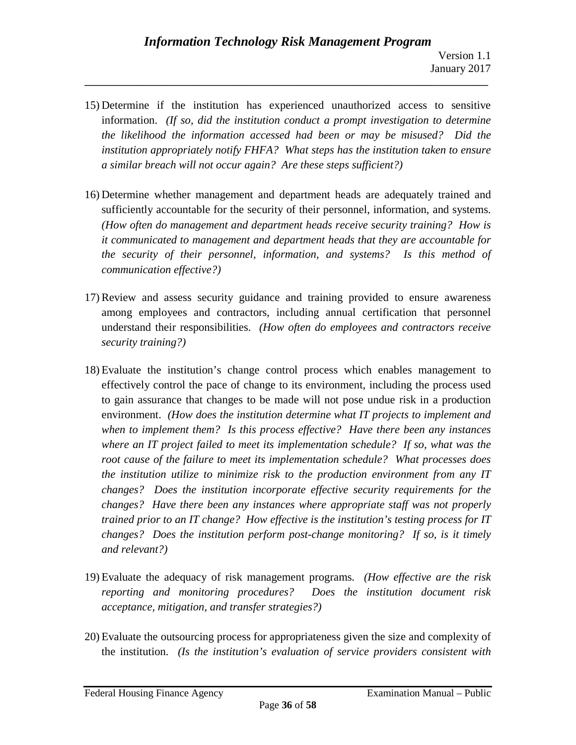15) Determine if the institution has experienced unauthorized access to sensitive information. *(If so, did the institution conduct a prompt investigation to determine the likelihood the information accessed had been or may be misused? Did the institution appropriately notify FHFA? What steps has the institution taken to ensure a similar breach will not occur again? Are these steps sufficient?)*

- 16) Determine whether management and department heads are adequately trained and sufficiently accountable for the security of their personnel, information, and systems. *(How often do management and department heads receive security training? How is it communicated to management and department heads that they are accountable for the security of their personnel, information, and systems? Is this method of communication effective?)*
- 17) Review and assess security guidance and training provided to ensure awareness among employees and contractors, including annual certification that personnel understand their responsibilities. *(How often do employees and contractors receive security training?)*
- 18) Evaluate the institution's change control process which enables management to effectively control the pace of change to its environment, including the process used to gain assurance that changes to be made will not pose undue risk in a production environment. *(How does the institution determine what IT projects to implement and when to implement them? Is this process effective? Have there been any instances where an IT project failed to meet its implementation schedule? If so, what was the root cause of the failure to meet its implementation schedule? What processes does the institution utilize to minimize risk to the production environment from any IT changes? Does the institution incorporate effective security requirements for the changes? Have there been any instances where appropriate staff was not properly trained prior to an IT change? How effective is the institution's testing process for IT changes? Does the institution perform post-change monitoring? If so, is it timely and relevant?)*
- 19) Evaluate the adequacy of risk management programs. *(How effective are the risk reporting and monitoring procedures? Does the institution document risk acceptance, mitigation, and transfer strategies?)*
- 20) Evaluate the outsourcing process for appropriateness given the size and complexity of the institution. *(Is the institution's evaluation of service providers consistent with*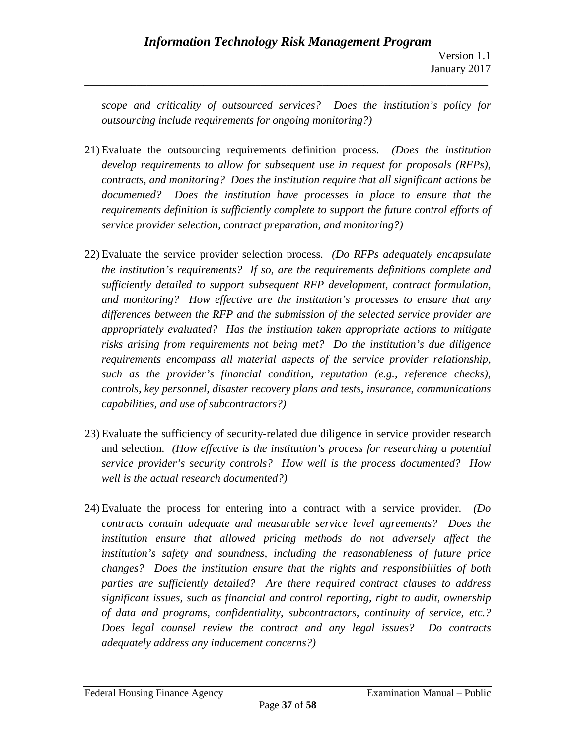*scope and criticality of outsourced services? Does the institution's policy for outsourcing include requirements for ongoing monitoring?)*

- 21) Evaluate the outsourcing requirements definition process. *(Does the institution develop requirements to allow for subsequent use in request for proposals (RFPs), contracts, and monitoring? Does the institution require that all significant actions be documented? Does the institution have processes in place to ensure that the requirements definition is sufficiently complete to support the future control efforts of service provider selection, contract preparation, and monitoring?)*
- 22) Evaluate the service provider selection process. *(Do RFPs adequately encapsulate the institution's requirements? If so, are the requirements definitions complete and sufficiently detailed to support subsequent RFP development, contract formulation, and monitoring? How effective are the institution's processes to ensure that any differences between the RFP and the submission of the selected service provider are appropriately evaluated? Has the institution taken appropriate actions to mitigate risks arising from requirements not being met? Do the institution's due diligence requirements encompass all material aspects of the service provider relationship, such as the provider's financial condition, reputation (e.g., reference checks), controls, key personnel, disaster recovery plans and tests, insurance, communications capabilities, and use of subcontractors?)*
- 23) Evaluate the sufficiency of security-related due diligence in service provider research and selection. *(How effective is the institution's process for researching a potential service provider's security controls? How well is the process documented? How well is the actual research documented?)*
- 24) Evaluate the process for entering into a contract with a service provider. *(Do contracts contain adequate and measurable service level agreements? Does the institution ensure that allowed pricing methods do not adversely affect the institution's safety and soundness, including the reasonableness of future price changes? Does the institution ensure that the rights and responsibilities of both parties are sufficiently detailed? Are there required contract clauses to address significant issues, such as financial and control reporting, right to audit, ownership of data and programs, confidentiality, subcontractors, continuity of service, etc.? Does legal counsel review the contract and any legal issues? Do contracts adequately address any inducement concerns?)*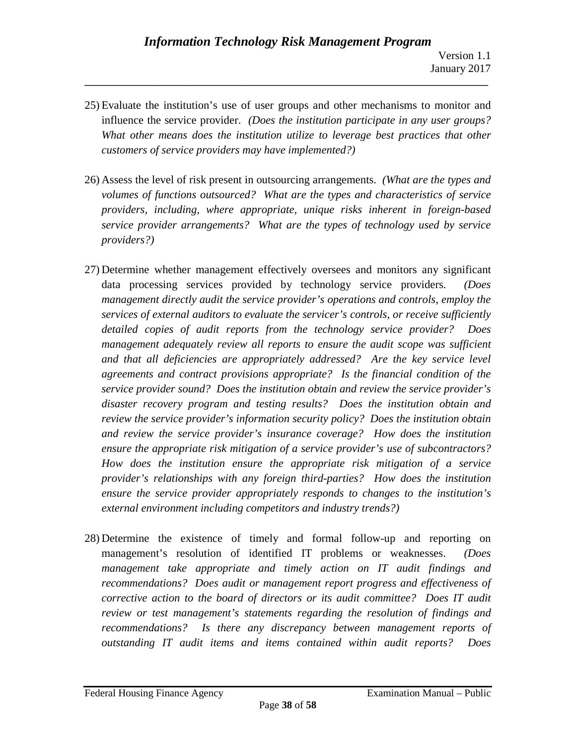25) Evaluate the institution's use of user groups and other mechanisms to monitor and influence the service provider. *(Does the institution participate in any user groups? What other means does the institution utilize to leverage best practices that other customers of service providers may have implemented?)*

- 26) Assess the level of risk present in outsourcing arrangements. *(What are the types and volumes of functions outsourced? What are the types and characteristics of service providers, including, where appropriate, unique risks inherent in foreign-based service provider arrangements? What are the types of technology used by service providers?)*
- 27) Determine whether management effectively oversees and monitors any significant data processing services provided by technology service providers. *(Does management directly audit the service provider's operations and controls, employ the services of external auditors to evaluate the servicer's controls, or receive sufficiently detailed copies of audit reports from the technology service provider? Does management adequately review all reports to ensure the audit scope was sufficient and that all deficiencies are appropriately addressed? Are the key service level agreements and contract provisions appropriate? Is the financial condition of the service provider sound? Does the institution obtain and review the service provider's disaster recovery program and testing results? Does the institution obtain and review the service provider's information security policy? Does the institution obtain and review the service provider's insurance coverage? How does the institution ensure the appropriate risk mitigation of a service provider's use of subcontractors? How does the institution ensure the appropriate risk mitigation of a service provider's relationships with any foreign third-parties? How does the institution ensure the service provider appropriately responds to changes to the institution's external environment including competitors and industry trends?)*
- 28) Determine the existence of timely and formal follow-up and reporting on management's resolution of identified IT problems or weaknesses. *(Does management take appropriate and timely action on IT audit findings and recommendations? Does audit or management report progress and effectiveness of corrective action to the board of directors or its audit committee? Does IT audit review or test management's statements regarding the resolution of findings and recommendations? Is there any discrepancy between management reports of outstanding IT audit items and items contained within audit reports? Does*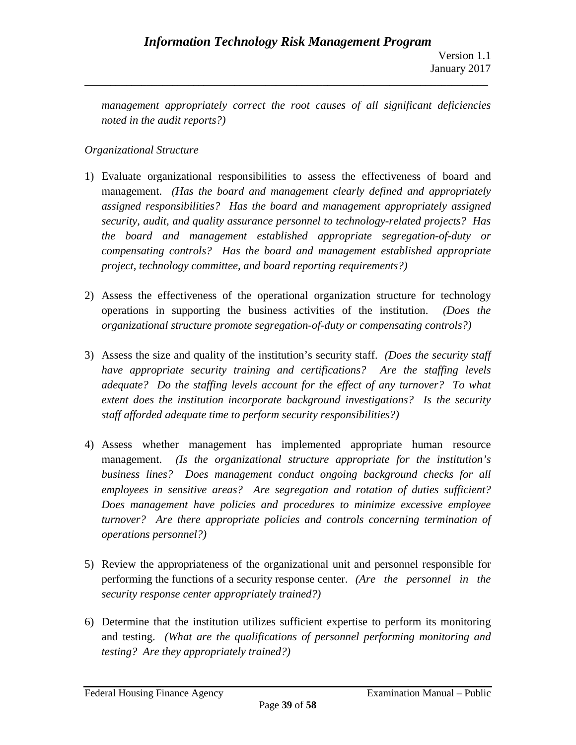*management appropriately correct the root causes of all significant deficiencies noted in the audit reports?)*

**\_\_\_\_\_\_\_\_\_\_\_\_\_\_\_\_\_\_\_\_\_\_\_\_\_\_\_\_\_\_\_\_\_\_\_\_\_\_\_\_\_\_\_\_\_\_\_\_\_\_\_\_\_\_\_\_\_\_\_\_\_\_\_\_\_\_\_\_\_\_\_\_\_\_\_\_\_\_**

# *Organizational Structure*

- 1) Evaluate organizational responsibilities to assess the effectiveness of board and management. *(Has the board and management clearly defined and appropriately assigned responsibilities? Has the board and management appropriately assigned security, audit, and quality assurance personnel to technology-related projects? Has the board and management established appropriate segregation-of-duty or compensating controls? Has the board and management established appropriate project, technology committee, and board reporting requirements?)*
- 2) Assess the effectiveness of the operational organization structure for technology operations in supporting the business activities of the institution. *(Does the organizational structure promote segregation-of-duty or compensating controls?)*
- 3) Assess the size and quality of the institution's security staff. *(Does the security staff have appropriate security training and certifications? Are the staffing levels adequate? Do the staffing levels account for the effect of any turnover? To what extent does the institution incorporate background investigations? Is the security staff afforded adequate time to perform security responsibilities?)*
- 4) Assess whether management has implemented appropriate human resource management. *(Is the organizational structure appropriate for the institution's business lines? Does management conduct ongoing background checks for all employees in sensitive areas? Are segregation and rotation of duties sufficient? Does management have policies and procedures to minimize excessive employee turnover? Are there appropriate policies and controls concerning termination of operations personnel?)*
- 5) Review the appropriateness of the organizational unit and personnel responsible for performing the functions of a security response center. *(Are the personnel in the security response center appropriately trained?)*
- 6) Determine that the institution utilizes sufficient expertise to perform its monitoring and testing. *(What are the qualifications of personnel performing monitoring and testing? Are they appropriately trained?)*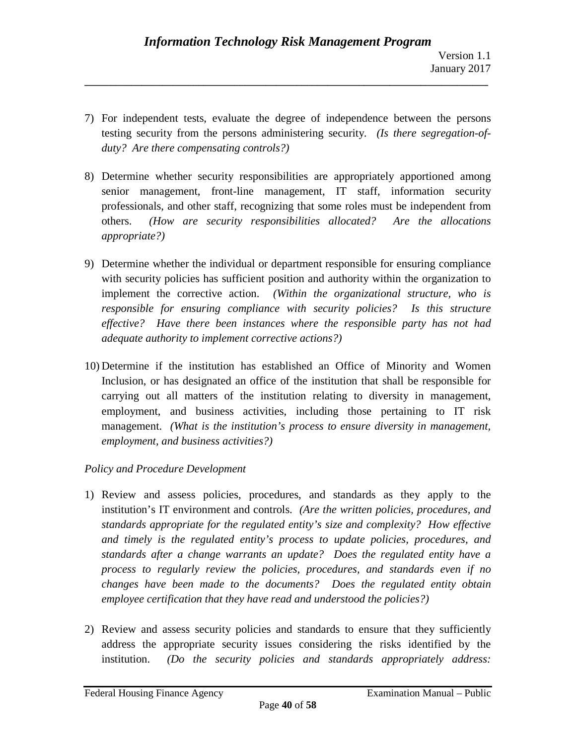7) For independent tests, evaluate the degree of independence between the persons testing security from the persons administering security. *(Is there segregation-ofduty? Are there compensating controls?)*

**\_\_\_\_\_\_\_\_\_\_\_\_\_\_\_\_\_\_\_\_\_\_\_\_\_\_\_\_\_\_\_\_\_\_\_\_\_\_\_\_\_\_\_\_\_\_\_\_\_\_\_\_\_\_\_\_\_\_\_\_\_\_\_\_\_\_\_\_\_\_\_\_\_\_\_\_\_\_**

- 8) Determine whether security responsibilities are appropriately apportioned among senior management, front-line management, IT staff, information security professionals, and other staff, recognizing that some roles must be independent from others. *(How are security responsibilities allocated? Are the allocations appropriate?)*
- 9) Determine whether the individual or department responsible for ensuring compliance with security policies has sufficient position and authority within the organization to implement the corrective action. *(Within the organizational structure, who is responsible for ensuring compliance with security policies? Is this structure effective? Have there been instances where the responsible party has not had adequate authority to implement corrective actions?)*
- 10) Determine if the institution has established an Office of Minority and Women Inclusion, or has designated an office of the institution that shall be responsible for carrying out all matters of the institution relating to diversity in management, employment, and business activities, including those pertaining to IT risk management. *(What is the institution's process to ensure diversity in management, employment, and business activities?)*

# *Policy and Procedure Development*

- 1) Review and assess policies, procedures, and standards as they apply to the institution's IT environment and controls. *(Are the written policies, procedures, and standards appropriate for the regulated entity's size and complexity? How effective and timely is the regulated entity's process to update policies, procedures, and standards after a change warrants an update? Does the regulated entity have a process to regularly review the policies, procedures, and standards even if no changes have been made to the documents? Does the regulated entity obtain employee certification that they have read and understood the policies?)*
- 2) Review and assess security policies and standards to ensure that they sufficiently address the appropriate security issues considering the risks identified by the institution. *(Do the security policies and standards appropriately address:*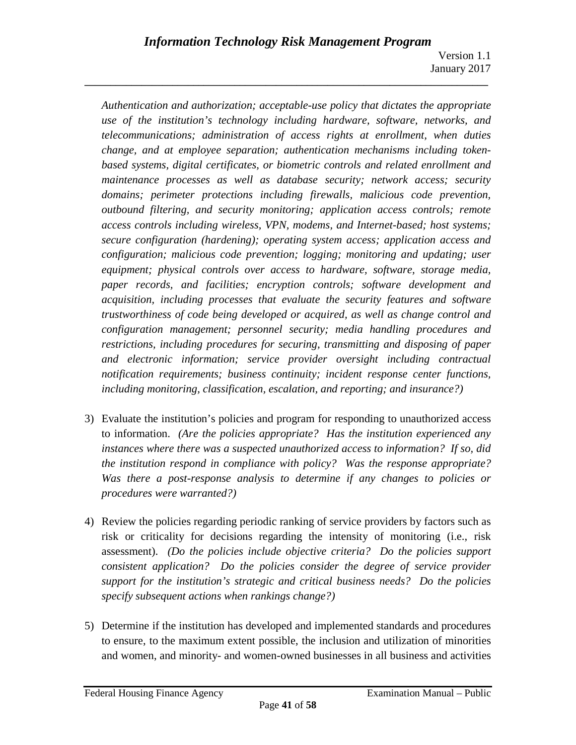*Authentication and authorization; acceptable-use policy that dictates the appropriate use of the institution's technology including hardware, software, networks, and telecommunications; administration of access rights at enrollment, when duties change, and at employee separation; authentication mechanisms including tokenbased systems, digital certificates, or biometric controls and related enrollment and maintenance processes as well as database security; network access; security domains; perimeter protections including firewalls, malicious code prevention, outbound filtering, and security monitoring; application access controls; remote access controls including wireless, VPN, modems, and Internet-based; host systems; secure configuration (hardening); operating system access; application access and configuration; malicious code prevention; logging; monitoring and updating; user equipment; physical controls over access to hardware, software, storage media, paper records, and facilities; encryption controls; software development and acquisition, including processes that evaluate the security features and software trustworthiness of code being developed or acquired, as well as change control and configuration management; personnel security; media handling procedures and restrictions, including procedures for securing, transmitting and disposing of paper and electronic information; service provider oversight including contractual notification requirements; business continuity; incident response center functions, including monitoring, classification, escalation, and reporting; and insurance?)*

- 3) Evaluate the institution's policies and program for responding to unauthorized access to information. *(Are the policies appropriate? Has the institution experienced any instances where there was a suspected unauthorized access to information? If so, did the institution respond in compliance with policy? Was the response appropriate? Was there a post-response analysis to determine if any changes to policies or procedures were warranted?)*
- 4) Review the policies regarding periodic ranking of service providers by factors such as risk or criticality for decisions regarding the intensity of monitoring (i.e., risk assessment). *(Do the policies include objective criteria? Do the policies support consistent application? Do the policies consider the degree of service provider support for the institution's strategic and critical business needs? Do the policies specify subsequent actions when rankings change?)*
- 5) Determine if the institution has developed and implemented standards and procedures to ensure, to the maximum extent possible, the inclusion and utilization of minorities and women, and minority- and women-owned businesses in all business and activities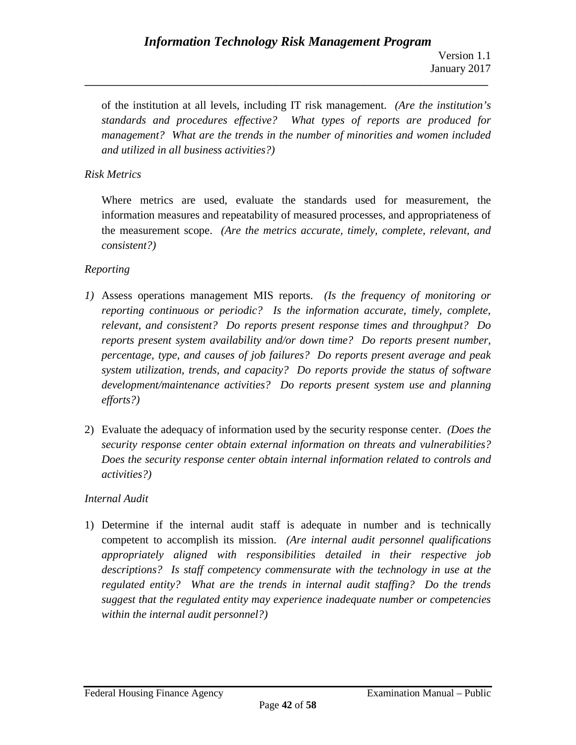of the institution at all levels, including IT risk management. *(Are the institution's standards and procedures effective? What types of reports are produced for management? What are the trends in the number of minorities and women included and utilized in all business activities?)*

**\_\_\_\_\_\_\_\_\_\_\_\_\_\_\_\_\_\_\_\_\_\_\_\_\_\_\_\_\_\_\_\_\_\_\_\_\_\_\_\_\_\_\_\_\_\_\_\_\_\_\_\_\_\_\_\_\_\_\_\_\_\_\_\_\_\_\_\_\_\_\_\_\_\_\_\_\_\_**

## *Risk Metrics*

Where metrics are used, evaluate the standards used for measurement, the information measures and repeatability of measured processes, and appropriateness of the measurement scope. *(Are the metrics accurate, timely, complete, relevant, and consistent?)*

## *Reporting*

- *1)* Assess operations management MIS reports. *(Is the frequency of monitoring or reporting continuous or periodic? Is the information accurate, timely, complete, relevant, and consistent? Do reports present response times and throughput? Do reports present system availability and/or down time? Do reports present number, percentage, type, and causes of job failures? Do reports present average and peak system utilization, trends, and capacity? Do reports provide the status of software development/maintenance activities? Do reports present system use and planning efforts?)*
- 2) Evaluate the adequacy of information used by the security response center. *(Does the security response center obtain external information on threats and vulnerabilities? Does the security response center obtain internal information related to controls and activities?)*

## *Internal Audit*

1) Determine if the internal audit staff is adequate in number and is technically competent to accomplish its mission. *(Are internal audit personnel qualifications appropriately aligned with responsibilities detailed in their respective job descriptions? Is staff competency commensurate with the technology in use at the regulated entity? What are the trends in internal audit staffing? Do the trends suggest that the regulated entity may experience inadequate number or competencies within the internal audit personnel?)*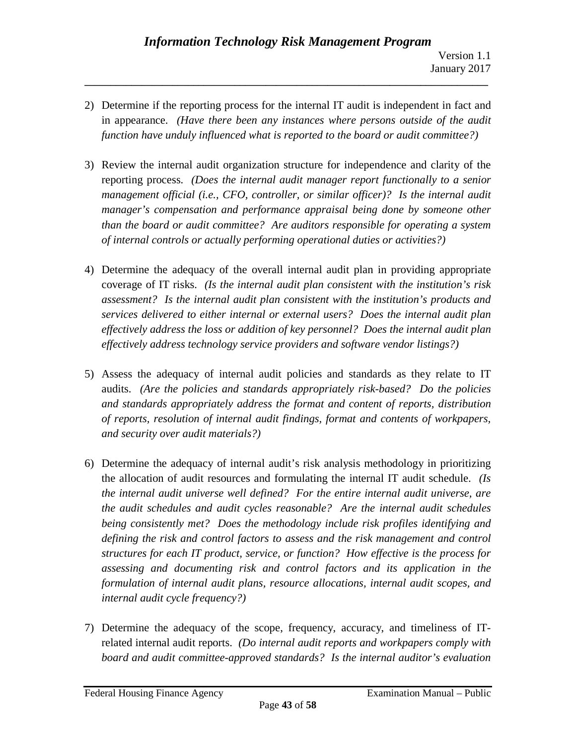2) Determine if the reporting process for the internal IT audit is independent in fact and in appearance. *(Have there been any instances where persons outside of the audit function have unduly influenced what is reported to the board or audit committee?)*

- 3) Review the internal audit organization structure for independence and clarity of the reporting process. *(Does the internal audit manager report functionally to a senior management official (i.e., CFO, controller, or similar officer)? Is the internal audit manager's compensation and performance appraisal being done by someone other than the board or audit committee? Are auditors responsible for operating a system of internal controls or actually performing operational duties or activities?)*
- 4) Determine the adequacy of the overall internal audit plan in providing appropriate coverage of IT risks. *(Is the internal audit plan consistent with the institution's risk assessment? Is the internal audit plan consistent with the institution's products and services delivered to either internal or external users? Does the internal audit plan effectively address the loss or addition of key personnel? Does the internal audit plan effectively address technology service providers and software vendor listings?)*
- 5) Assess the adequacy of internal audit policies and standards as they relate to IT audits. *(Are the policies and standards appropriately risk-based? Do the policies and standards appropriately address the format and content of reports, distribution of reports, resolution of internal audit findings, format and contents of workpapers, and security over audit materials?)*
- 6) Determine the adequacy of internal audit's risk analysis methodology in prioritizing the allocation of audit resources and formulating the internal IT audit schedule. *(Is the internal audit universe well defined? For the entire internal audit universe, are the audit schedules and audit cycles reasonable? Are the internal audit schedules being consistently met? Does the methodology include risk profiles identifying and defining the risk and control factors to assess and the risk management and control structures for each IT product, service, or function? How effective is the process for assessing and documenting risk and control factors and its application in the formulation of internal audit plans, resource allocations, internal audit scopes, and internal audit cycle frequency?)*
- 7) Determine the adequacy of the scope, frequency, accuracy, and timeliness of ITrelated internal audit reports. *(Do internal audit reports and workpapers comply with board and audit committee-approved standards? Is the internal auditor's evaluation*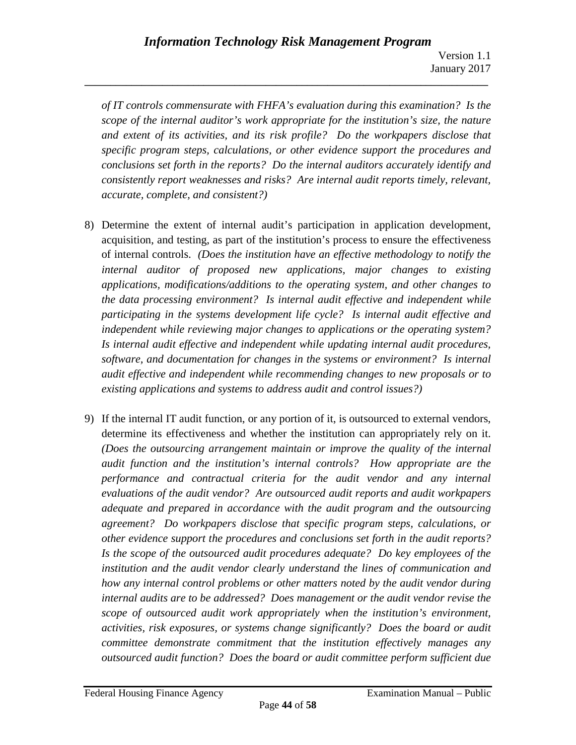*of IT controls commensurate with FHFA's evaluation during this examination? Is the scope of the internal auditor's work appropriate for the institution's size, the nature and extent of its activities, and its risk profile? Do the workpapers disclose that specific program steps, calculations, or other evidence support the procedures and conclusions set forth in the reports? Do the internal auditors accurately identify and consistently report weaknesses and risks? Are internal audit reports timely, relevant, accurate, complete, and consistent?)*

- 8) Determine the extent of internal audit's participation in application development, acquisition, and testing, as part of the institution's process to ensure the effectiveness of internal controls. *(Does the institution have an effective methodology to notify the internal auditor of proposed new applications, major changes to existing applications, modifications/additions to the operating system, and other changes to the data processing environment? Is internal audit effective and independent while participating in the systems development life cycle? Is internal audit effective and independent while reviewing major changes to applications or the operating system? Is internal audit effective and independent while updating internal audit procedures, software, and documentation for changes in the systems or environment? Is internal audit effective and independent while recommending changes to new proposals or to existing applications and systems to address audit and control issues?)*
- 9) If the internal IT audit function, or any portion of it, is outsourced to external vendors, determine its effectiveness and whether the institution can appropriately rely on it. *(Does the outsourcing arrangement maintain or improve the quality of the internal audit function and the institution's internal controls? How appropriate are the performance and contractual criteria for the audit vendor and any internal evaluations of the audit vendor? Are outsourced audit reports and audit workpapers adequate and prepared in accordance with the audit program and the outsourcing agreement? Do workpapers disclose that specific program steps, calculations, or other evidence support the procedures and conclusions set forth in the audit reports? Is the scope of the outsourced audit procedures adequate? Do key employees of the institution and the audit vendor clearly understand the lines of communication and how any internal control problems or other matters noted by the audit vendor during internal audits are to be addressed? Does management or the audit vendor revise the scope of outsourced audit work appropriately when the institution's environment, activities, risk exposures, or systems change significantly? Does the board or audit committee demonstrate commitment that the institution effectively manages any outsourced audit function? Does the board or audit committee perform sufficient due*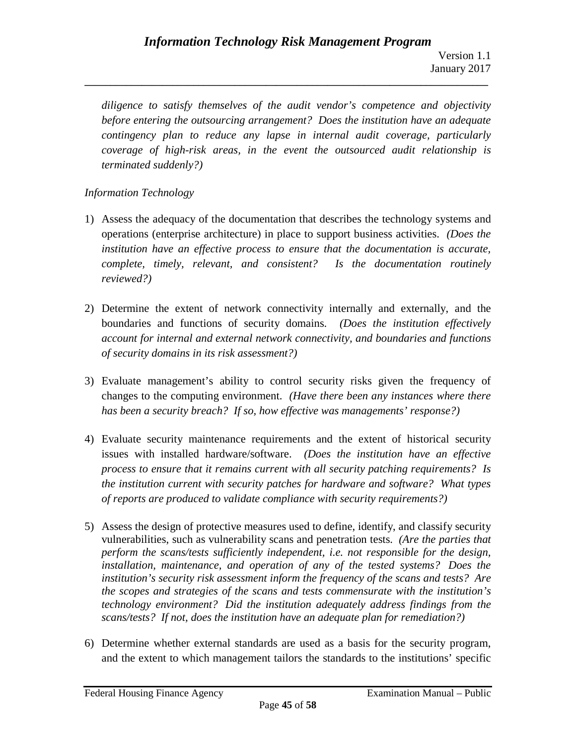*diligence to satisfy themselves of the audit vendor's competence and objectivity before entering the outsourcing arrangement? Does the institution have an adequate contingency plan to reduce any lapse in internal audit coverage, particularly coverage of high-risk areas, in the event the outsourced audit relationship is terminated suddenly?)*

**\_\_\_\_\_\_\_\_\_\_\_\_\_\_\_\_\_\_\_\_\_\_\_\_\_\_\_\_\_\_\_\_\_\_\_\_\_\_\_\_\_\_\_\_\_\_\_\_\_\_\_\_\_\_\_\_\_\_\_\_\_\_\_\_\_\_\_\_\_\_\_\_\_\_\_\_\_\_**

# *Information Technology*

- 1) Assess the adequacy of the documentation that describes the technology systems and operations (enterprise architecture) in place to support business activities. *(Does the institution have an effective process to ensure that the documentation is accurate, complete, timely, relevant, and consistent? Is the documentation routinely reviewed?)*
- 2) Determine the extent of network connectivity internally and externally, and the boundaries and functions of security domains. *(Does the institution effectively account for internal and external network connectivity, and boundaries and functions of security domains in its risk assessment?)*
- 3) Evaluate management's ability to control security risks given the frequency of changes to the computing environment. *(Have there been any instances where there has been a security breach? If so, how effective was managements' response?)*
- 4) Evaluate security maintenance requirements and the extent of historical security issues with installed hardware/software. *(Does the institution have an effective process to ensure that it remains current with all security patching requirements? Is the institution current with security patches for hardware and software? What types of reports are produced to validate compliance with security requirements?)*
- 5) Assess the design of protective measures used to define, identify, and classify security vulnerabilities, such as vulnerability scans and penetration tests. *(Are the parties that perform the scans/tests sufficiently independent, i.e. not responsible for the design, installation, maintenance, and operation of any of the tested systems? Does the institution's security risk assessment inform the frequency of the scans and tests? Are the scopes and strategies of the scans and tests commensurate with the institution's technology environment? Did the institution adequately address findings from the scans/tests? If not, does the institution have an adequate plan for remediation?)*
- 6) Determine whether external standards are used as a basis for the security program, and the extent to which management tailors the standards to the institutions' specific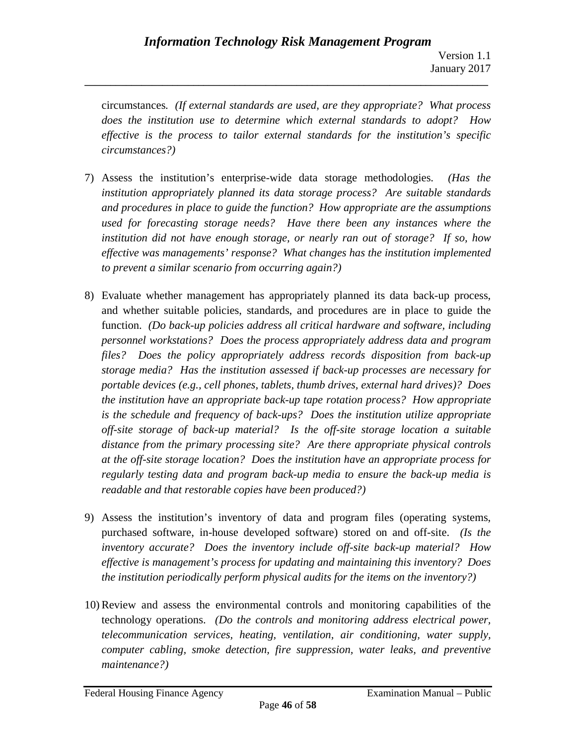circumstances. *(If external standards are used, are they appropriate? What process does the institution use to determine which external standards to adopt? How effective is the process to tailor external standards for the institution's specific circumstances?)*

- 7) Assess the institution's enterprise-wide data storage methodologies. *(Has the institution appropriately planned its data storage process? Are suitable standards and procedures in place to guide the function? How appropriate are the assumptions used for forecasting storage needs? Have there been any instances where the institution did not have enough storage, or nearly ran out of storage? If so, how effective was managements' response? What changes has the institution implemented to prevent a similar scenario from occurring again?)*
- 8) Evaluate whether management has appropriately planned its data back-up process, and whether suitable policies, standards, and procedures are in place to guide the function. *(Do back-up policies address all critical hardware and software, including personnel workstations? Does the process appropriately address data and program files? Does the policy appropriately address records disposition from back-up storage media? Has the institution assessed if back-up processes are necessary for portable devices (e.g., cell phones, tablets, thumb drives, external hard drives)? Does the institution have an appropriate back-up tape rotation process? How appropriate is the schedule and frequency of back-ups? Does the institution utilize appropriate off-site storage of back-up material? Is the off-site storage location a suitable distance from the primary processing site? Are there appropriate physical controls at the off-site storage location? Does the institution have an appropriate process for regularly testing data and program back-up media to ensure the back-up media is readable and that restorable copies have been produced?)*
- 9) Assess the institution's inventory of data and program files (operating systems, purchased software, in-house developed software) stored on and off-site. *(Is the inventory accurate? Does the inventory include off-site back-up material? How effective is management's process for updating and maintaining this inventory? Does the institution periodically perform physical audits for the items on the inventory?)*
- 10) Review and assess the environmental controls and monitoring capabilities of the technology operations. *(Do the controls and monitoring address electrical power, telecommunication services, heating, ventilation, air conditioning, water supply, computer cabling, smoke detection, fire suppression, water leaks, and preventive maintenance?)*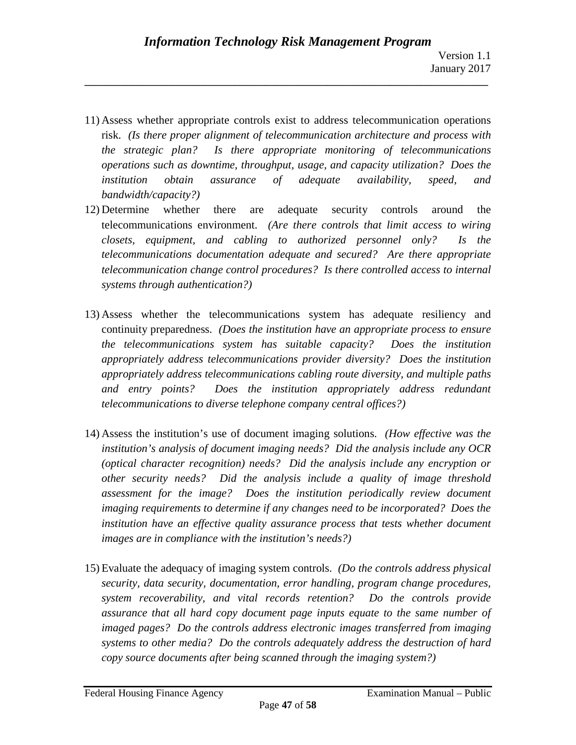11) Assess whether appropriate controls exist to address telecommunication operations risk. *(Is there proper alignment of telecommunication architecture and process with the strategic plan? Is there appropriate monitoring of telecommunications operations such as downtime, throughput, usage, and capacity utilization? Does the institution obtain assurance of adequate availability, speed, and bandwidth/capacity?)*

- 12) Determine whether there are adequate security controls around the telecommunications environment. *(Are there controls that limit access to wiring closets, equipment, and cabling to authorized personnel only? Is the telecommunications documentation adequate and secured? Are there appropriate telecommunication change control procedures? Is there controlled access to internal systems through authentication?)*
- 13) Assess whether the telecommunications system has adequate resiliency and continuity preparedness. *(Does the institution have an appropriate process to ensure the telecommunications system has suitable capacity? Does the institution appropriately address telecommunications provider diversity? Does the institution appropriately address telecommunications cabling route diversity, and multiple paths and entry points? Does the institution appropriately address redundant telecommunications to diverse telephone company central offices?)*
- 14) Assess the institution's use of document imaging solutions. *(How effective was the institution's analysis of document imaging needs? Did the analysis include any OCR (optical character recognition) needs? Did the analysis include any encryption or other security needs? Did the analysis include a quality of image threshold assessment for the image? Does the institution periodically review document imaging requirements to determine if any changes need to be incorporated? Does the institution have an effective quality assurance process that tests whether document images are in compliance with the institution's needs?)*
- 15) Evaluate the adequacy of imaging system controls. *(Do the controls address physical security, data security, documentation, error handling, program change procedures, system recoverability, and vital records retention? Do the controls provide assurance that all hard copy document page inputs equate to the same number of imaged pages? Do the controls address electronic images transferred from imaging systems to other media? Do the controls adequately address the destruction of hard copy source documents after being scanned through the imaging system?)*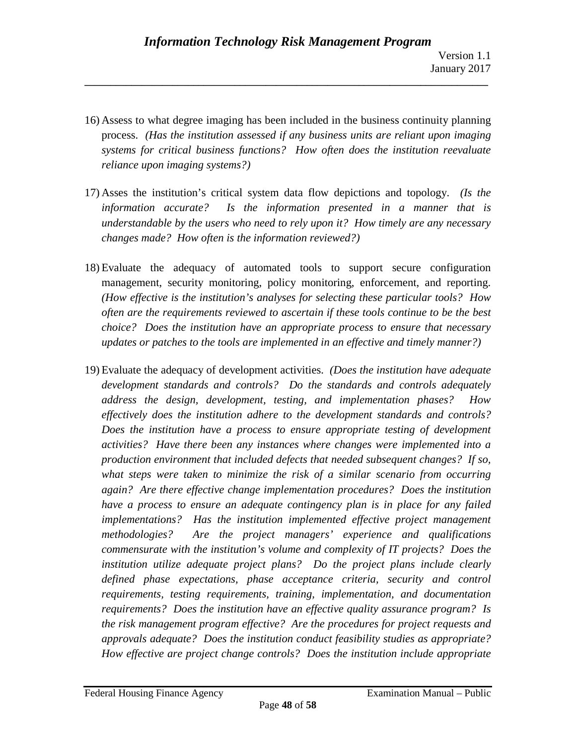16) Assess to what degree imaging has been included in the business continuity planning process. *(Has the institution assessed if any business units are reliant upon imaging systems for critical business functions? How often does the institution reevaluate reliance upon imaging systems?)*

- 17) Asses the institution's critical system data flow depictions and topology. *(Is the information accurate? Is the information presented in a manner that is understandable by the users who need to rely upon it? How timely are any necessary changes made? How often is the information reviewed?)*
- 18) Evaluate the adequacy of automated tools to support secure configuration management, security monitoring, policy monitoring, enforcement, and reporting. *(How effective is the institution's analyses for selecting these particular tools? How often are the requirements reviewed to ascertain if these tools continue to be the best choice? Does the institution have an appropriate process to ensure that necessary updates or patches to the tools are implemented in an effective and timely manner?)*
- 19) Evaluate the adequacy of development activities. *(Does the institution have adequate development standards and controls? Do the standards and controls adequately address the design, development, testing, and implementation phases? How effectively does the institution adhere to the development standards and controls? Does the institution have a process to ensure appropriate testing of development activities? Have there been any instances where changes were implemented into a production environment that included defects that needed subsequent changes? If so, what steps were taken to minimize the risk of a similar scenario from occurring again? Are there effective change implementation procedures? Does the institution have a process to ensure an adequate contingency plan is in place for any failed implementations? Has the institution implemented effective project management methodologies? Are the project managers' experience and qualifications commensurate with the institution's volume and complexity of IT projects? Does the institution utilize adequate project plans? Do the project plans include clearly defined phase expectations, phase acceptance criteria, security and control requirements, testing requirements, training, implementation, and documentation requirements? Does the institution have an effective quality assurance program? Is the risk management program effective? Are the procedures for project requests and approvals adequate? Does the institution conduct feasibility studies as appropriate? How effective are project change controls? Does the institution include appropriate*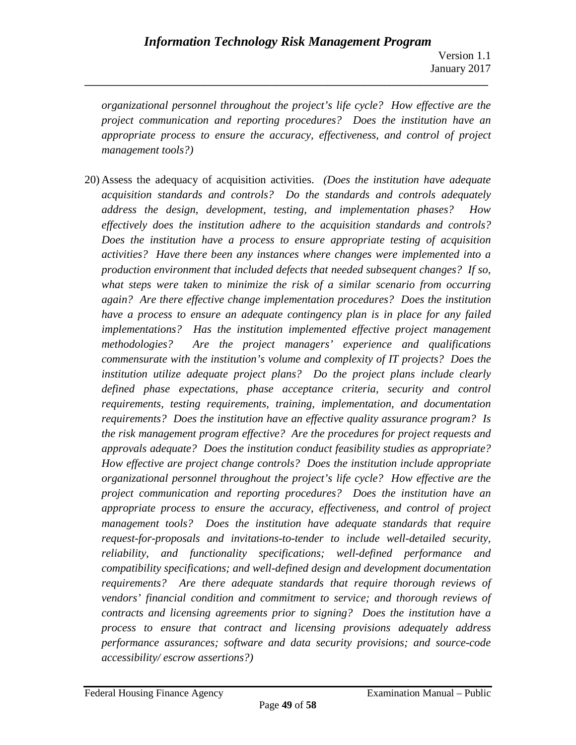*organizational personnel throughout the project's life cycle? How effective are the project communication and reporting procedures? Does the institution have an appropriate process to ensure the accuracy, effectiveness, and control of project management tools?)*

**\_\_\_\_\_\_\_\_\_\_\_\_\_\_\_\_\_\_\_\_\_\_\_\_\_\_\_\_\_\_\_\_\_\_\_\_\_\_\_\_\_\_\_\_\_\_\_\_\_\_\_\_\_\_\_\_\_\_\_\_\_\_\_\_\_\_\_\_\_\_\_\_\_\_\_\_\_\_**

20) Assess the adequacy of acquisition activities. *(Does the institution have adequate acquisition standards and controls? Do the standards and controls adequately address the design, development, testing, and implementation phases? How effectively does the institution adhere to the acquisition standards and controls? Does the institution have a process to ensure appropriate testing of acquisition activities? Have there been any instances where changes were implemented into a production environment that included defects that needed subsequent changes? If so, what steps were taken to minimize the risk of a similar scenario from occurring again? Are there effective change implementation procedures? Does the institution have a process to ensure an adequate contingency plan is in place for any failed implementations? Has the institution implemented effective project management methodologies? Are the project managers' experience and qualifications commensurate with the institution's volume and complexity of IT projects? Does the institution utilize adequate project plans? Do the project plans include clearly defined phase expectations, phase acceptance criteria, security and control requirements, testing requirements, training, implementation, and documentation requirements? Does the institution have an effective quality assurance program? Is the risk management program effective? Are the procedures for project requests and approvals adequate? Does the institution conduct feasibility studies as appropriate? How effective are project change controls? Does the institution include appropriate organizational personnel throughout the project's life cycle? How effective are the project communication and reporting procedures? Does the institution have an appropriate process to ensure the accuracy, effectiveness, and control of project management tools? Does the institution have adequate standards that require request-for-proposals and invitations-to-tender to include well-detailed security, reliability, and functionality specifications; well-defined performance and compatibility specifications; and well-defined design and development documentation requirements? Are there adequate standards that require thorough reviews of vendors' financial condition and commitment to service; and thorough reviews of contracts and licensing agreements prior to signing? Does the institution have a process to ensure that contract and licensing provisions adequately address performance assurances; software and data security provisions; and source-code accessibility/ escrow assertions?)*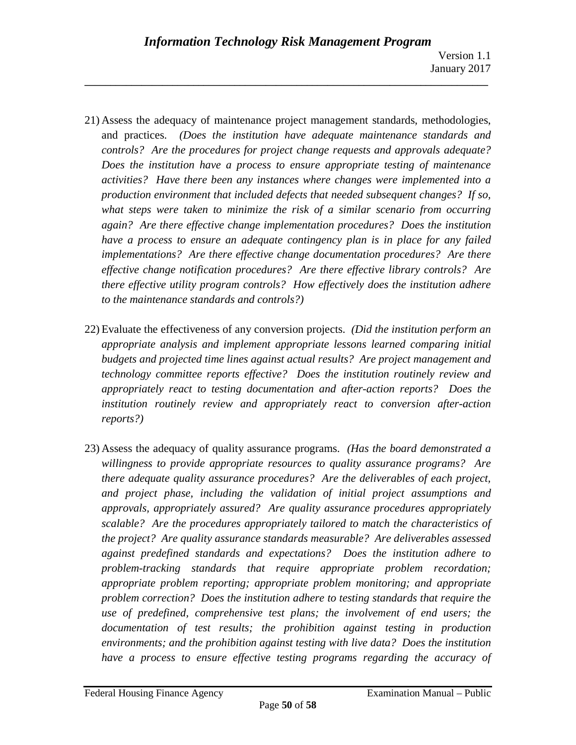21) Assess the adequacy of maintenance project management standards, methodologies, and practices. *(Does the institution have adequate maintenance standards and controls? Are the procedures for project change requests and approvals adequate? Does the institution have a process to ensure appropriate testing of maintenance activities? Have there been any instances where changes were implemented into a production environment that included defects that needed subsequent changes? If so, what steps were taken to minimize the risk of a similar scenario from occurring again? Are there effective change implementation procedures? Does the institution have a process to ensure an adequate contingency plan is in place for any failed implementations? Are there effective change documentation procedures? Are there effective change notification procedures? Are there effective library controls? Are there effective utility program controls? How effectively does the institution adhere to the maintenance standards and controls?)*

- 22) Evaluate the effectiveness of any conversion projects. *(Did the institution perform an appropriate analysis and implement appropriate lessons learned comparing initial budgets and projected time lines against actual results? Are project management and technology committee reports effective? Does the institution routinely review and appropriately react to testing documentation and after-action reports? Does the institution routinely review and appropriately react to conversion after-action reports?)*
- 23) Assess the adequacy of quality assurance programs. *(Has the board demonstrated a willingness to provide appropriate resources to quality assurance programs? Are there adequate quality assurance procedures? Are the deliverables of each project, and project phase, including the validation of initial project assumptions and approvals, appropriately assured? Are quality assurance procedures appropriately scalable? Are the procedures appropriately tailored to match the characteristics of the project? Are quality assurance standards measurable? Are deliverables assessed against predefined standards and expectations? Does the institution adhere to problem-tracking standards that require appropriate problem recordation; appropriate problem reporting; appropriate problem monitoring; and appropriate problem correction? Does the institution adhere to testing standards that require the use of predefined, comprehensive test plans; the involvement of end users; the documentation of test results; the prohibition against testing in production environments; and the prohibition against testing with live data? Does the institution have a process to ensure effective testing programs regarding the accuracy of*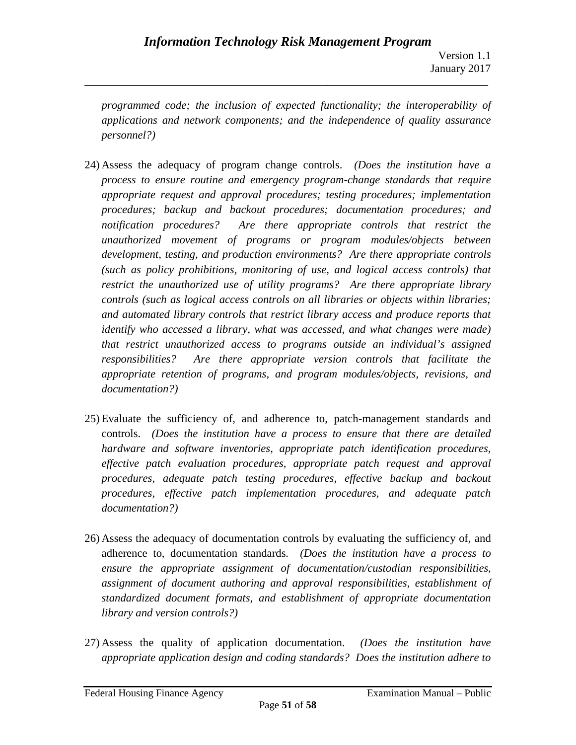*programmed code; the inclusion of expected functionality; the interoperability of applications and network components; and the independence of quality assurance personnel?)*

- 24) Assess the adequacy of program change controls. *(Does the institution have a process to ensure routine and emergency program-change standards that require appropriate request and approval procedures; testing procedures; implementation procedures; backup and backout procedures; documentation procedures; and notification procedures? Are there appropriate controls that restrict the unauthorized movement of programs or program modules/objects between development, testing, and production environments? Are there appropriate controls (such as policy prohibitions, monitoring of use, and logical access controls) that restrict the unauthorized use of utility programs? Are there appropriate library controls (such as logical access controls on all libraries or objects within libraries; and automated library controls that restrict library access and produce reports that identify who accessed a library, what was accessed, and what changes were made) that restrict unauthorized access to programs outside an individual's assigned responsibilities? Are there appropriate version controls that facilitate the appropriate retention of programs, and program modules/objects, revisions, and documentation?)*
- 25) Evaluate the sufficiency of, and adherence to, patch-management standards and controls. *(Does the institution have a process to ensure that there are detailed hardware and software inventories, appropriate patch identification procedures, effective patch evaluation procedures, appropriate patch request and approval procedures, adequate patch testing procedures, effective backup and backout procedures, effective patch implementation procedures, and adequate patch documentation?)*
- 26) Assess the adequacy of documentation controls by evaluating the sufficiency of, and adherence to, documentation standards. *(Does the institution have a process to ensure the appropriate assignment of documentation/custodian responsibilities, assignment of document authoring and approval responsibilities, establishment of standardized document formats, and establishment of appropriate documentation library and version controls?)*
- 27) Assess the quality of application documentation. *(Does the institution have appropriate application design and coding standards? Does the institution adhere to*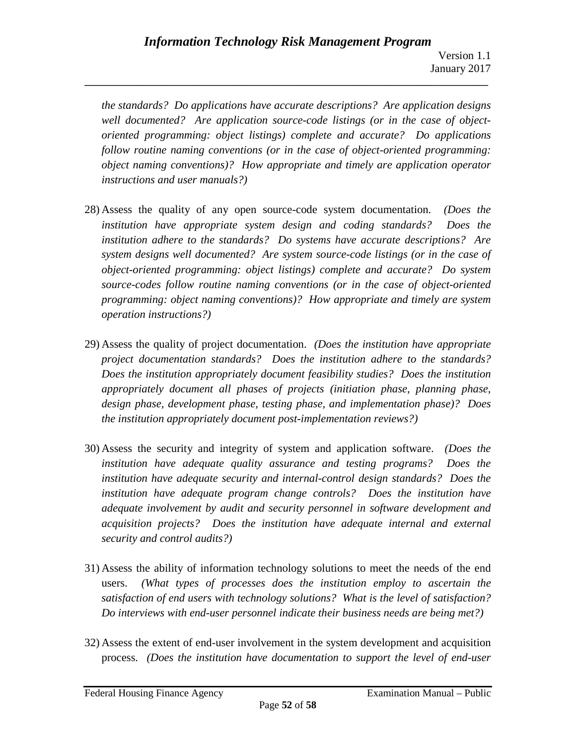*the standards? Do applications have accurate descriptions? Are application designs well documented? Are application source-code listings (or in the case of objectoriented programming: object listings) complete and accurate? Do applications follow routine naming conventions (or in the case of object-oriented programming: object naming conventions)? How appropriate and timely are application operator instructions and user manuals?)*

- 28) Assess the quality of any open source-code system documentation. *(Does the institution have appropriate system design and coding standards? Does the institution adhere to the standards? Do systems have accurate descriptions? Are system designs well documented? Are system source-code listings (or in the case of object-oriented programming: object listings) complete and accurate? Do system source-codes follow routine naming conventions (or in the case of object-oriented programming: object naming conventions)? How appropriate and timely are system operation instructions?)*
- 29) Assess the quality of project documentation. *(Does the institution have appropriate project documentation standards? Does the institution adhere to the standards? Does the institution appropriately document feasibility studies? Does the institution appropriately document all phases of projects (initiation phase, planning phase, design phase, development phase, testing phase, and implementation phase)? Does the institution appropriately document post-implementation reviews?)*
- 30) Assess the security and integrity of system and application software. *(Does the institution have adequate quality assurance and testing programs? Does the institution have adequate security and internal-control design standards? Does the institution have adequate program change controls? Does the institution have adequate involvement by audit and security personnel in software development and acquisition projects? Does the institution have adequate internal and external security and control audits?)*
- 31) Assess the ability of information technology solutions to meet the needs of the end users. *(What types of processes does the institution employ to ascertain the satisfaction of end users with technology solutions? What is the level of satisfaction? Do interviews with end-user personnel indicate their business needs are being met?)*
- 32) Assess the extent of end-user involvement in the system development and acquisition process. *(Does the institution have documentation to support the level of end-user*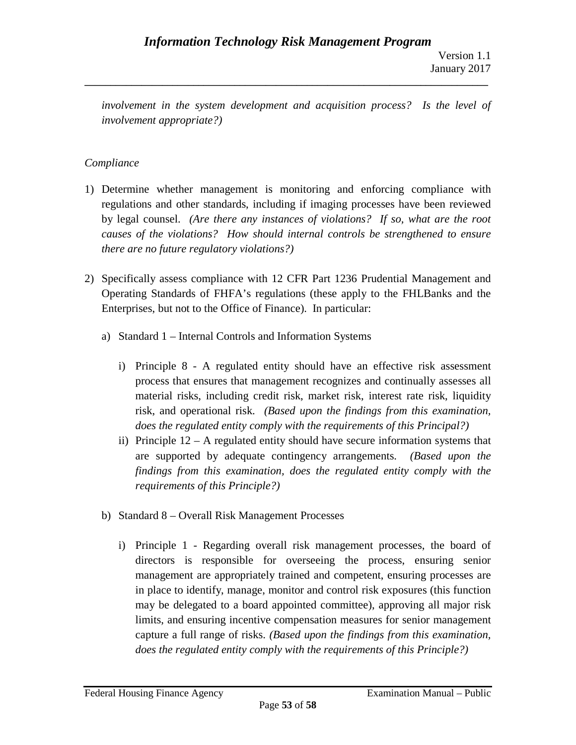*involvement in the system development and acquisition process?* Is the level of *involvement appropriate?)*

**\_\_\_\_\_\_\_\_\_\_\_\_\_\_\_\_\_\_\_\_\_\_\_\_\_\_\_\_\_\_\_\_\_\_\_\_\_\_\_\_\_\_\_\_\_\_\_\_\_\_\_\_\_\_\_\_\_\_\_\_\_\_\_\_\_\_\_\_\_\_\_\_\_\_\_\_\_\_**

# *Compliance*

- 1) Determine whether management is monitoring and enforcing compliance with regulations and other standards, including if imaging processes have been reviewed by legal counsel. *(Are there any instances of violations? If so, what are the root causes of the violations? How should internal controls be strengthened to ensure there are no future regulatory violations?)*
- 2) Specifically assess compliance with 12 CFR Part 1236 Prudential Management and Operating Standards of FHFA's regulations (these apply to the FHLBanks and the Enterprises, but not to the Office of Finance). In particular:
	- a) Standard 1 Internal Controls and Information Systems
		- i) Principle 8 A regulated entity should have an effective risk assessment process that ensures that management recognizes and continually assesses all material risks, including credit risk, market risk, interest rate risk, liquidity risk, and operational risk. *(Based upon the findings from this examination, does the regulated entity comply with the requirements of this Principal?)*
		- ii) Principle 12 A regulated entity should have secure information systems that are supported by adequate contingency arrangements. *(Based upon the findings from this examination, does the regulated entity comply with the requirements of this Principle?)*
	- b) Standard 8 Overall Risk Management Processes
		- i) Principle 1 Regarding overall risk management processes, the board of directors is responsible for overseeing the process, ensuring senior management are appropriately trained and competent, ensuring processes are in place to identify, manage, monitor and control risk exposures (this function may be delegated to a board appointed committee), approving all major risk limits, and ensuring incentive compensation measures for senior management capture a full range of risks. *(Based upon the findings from this examination, does the regulated entity comply with the requirements of this Principle?)*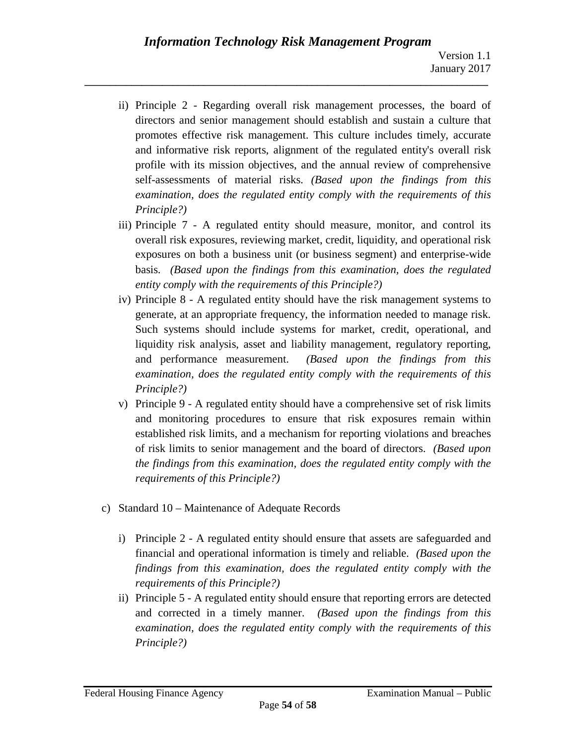- ii) Principle 2 Regarding overall risk management processes, the board of directors and senior management should establish and sustain a culture that promotes effective risk management. This culture includes timely, accurate and informative risk reports, alignment of the regulated entity's overall risk profile with its mission objectives, and the annual review of comprehensive self-assessments of material risks. *(Based upon the findings from this examination, does the regulated entity comply with the requirements of this Principle?)*
- iii) Principle 7 A regulated entity should measure, monitor, and control its overall risk exposures, reviewing market, credit, liquidity, and operational risk exposures on both a business unit (or business segment) and enterprise-wide basis. *(Based upon the findings from this examination, does the regulated entity comply with the requirements of this Principle?)*
- iv) Principle 8 A regulated entity should have the risk management systems to generate, at an appropriate frequency, the information needed to manage risk. Such systems should include systems for market, credit, operational, and liquidity risk analysis, asset and liability management, regulatory reporting, and performance measurement. *(Based upon the findings from this examination, does the regulated entity comply with the requirements of this Principle?)*
- v) Principle 9 A regulated entity should have a comprehensive set of risk limits and monitoring procedures to ensure that risk exposures remain within established risk limits, and a mechanism for reporting violations and breaches of risk limits to senior management and the board of directors. *(Based upon the findings from this examination, does the regulated entity comply with the requirements of this Principle?)*
- c) Standard 10 Maintenance of Adequate Records
	- i) Principle 2 A regulated entity should ensure that assets are safeguarded and financial and operational information is timely and reliable. *(Based upon the findings from this examination, does the regulated entity comply with the requirements of this Principle?)*
	- ii) Principle 5 A regulated entity should ensure that reporting errors are detected and corrected in a timely manner. *(Based upon the findings from this examination, does the regulated entity comply with the requirements of this Principle?)*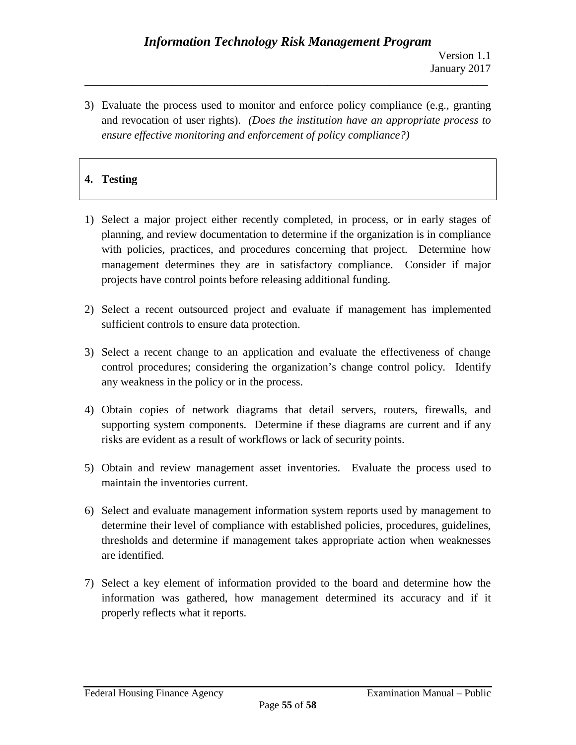3) Evaluate the process used to monitor and enforce policy compliance (e.g., granting and revocation of user rights). *(Does the institution have an appropriate process to ensure effective monitoring and enforcement of policy compliance?)*

**\_\_\_\_\_\_\_\_\_\_\_\_\_\_\_\_\_\_\_\_\_\_\_\_\_\_\_\_\_\_\_\_\_\_\_\_\_\_\_\_\_\_\_\_\_\_\_\_\_\_\_\_\_\_\_\_\_\_\_\_\_\_\_\_\_\_\_\_\_\_\_\_\_\_\_\_\_\_**

# **4. Testing**

- 1) Select a major project either recently completed, in process, or in early stages of planning, and review documentation to determine if the organization is in compliance with policies, practices, and procedures concerning that project. Determine how management determines they are in satisfactory compliance. Consider if major projects have control points before releasing additional funding.
- 2) Select a recent outsourced project and evaluate if management has implemented sufficient controls to ensure data protection.
- 3) Select a recent change to an application and evaluate the effectiveness of change control procedures; considering the organization's change control policy. Identify any weakness in the policy or in the process.
- 4) Obtain copies of network diagrams that detail servers, routers, firewalls, and supporting system components. Determine if these diagrams are current and if any risks are evident as a result of workflows or lack of security points.
- 5) Obtain and review management asset inventories. Evaluate the process used to maintain the inventories current.
- 6) Select and evaluate management information system reports used by management to determine their level of compliance with established policies, procedures, guidelines, thresholds and determine if management takes appropriate action when weaknesses are identified.
- 7) Select a key element of information provided to the board and determine how the information was gathered, how management determined its accuracy and if it properly reflects what it reports.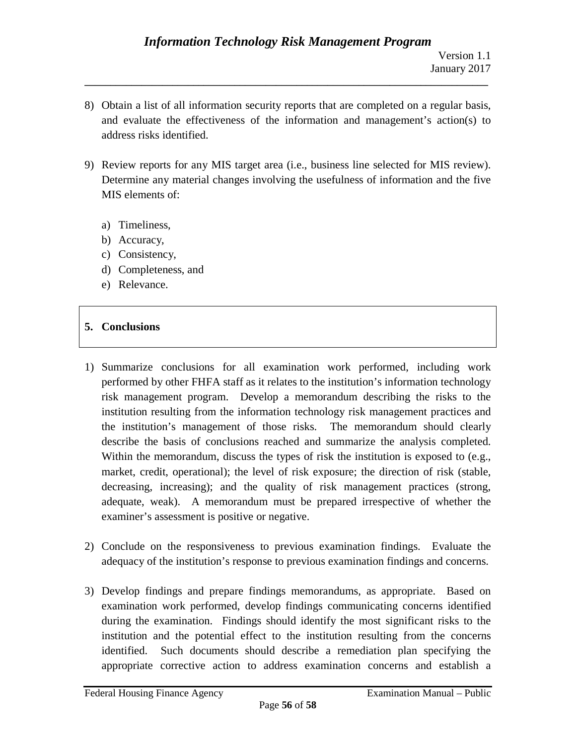8) Obtain a list of all information security reports that are completed on a regular basis, and evaluate the effectiveness of the information and management's action(s) to address risks identified.

**\_\_\_\_\_\_\_\_\_\_\_\_\_\_\_\_\_\_\_\_\_\_\_\_\_\_\_\_\_\_\_\_\_\_\_\_\_\_\_\_\_\_\_\_\_\_\_\_\_\_\_\_\_\_\_\_\_\_\_\_\_\_\_\_\_\_\_\_\_\_\_\_\_\_\_\_\_\_**

- 9) Review reports for any MIS target area (i.e., business line selected for MIS review). Determine any material changes involving the usefulness of information and the five MIS elements of:
	- a) Timeliness,
	- b) Accuracy,
	- c) Consistency,
	- d) Completeness, and
	- e) Relevance.

#### **5. Conclusions**

- 1) Summarize conclusions for all examination work performed, including work performed by other FHFA staff as it relates to the institution's information technology risk management program. Develop a memorandum describing the risks to the institution resulting from the information technology risk management practices and the institution's management of those risks. The memorandum should clearly describe the basis of conclusions reached and summarize the analysis completed. Within the memorandum, discuss the types of risk the institution is exposed to (e.g., market, credit, operational); the level of risk exposure; the direction of risk (stable, decreasing, increasing); and the quality of risk management practices (strong, adequate, weak). A memorandum must be prepared irrespective of whether the examiner's assessment is positive or negative.
- 2) Conclude on the responsiveness to previous examination findings. Evaluate the adequacy of the institution's response to previous examination findings and concerns.
- 3) Develop findings and prepare findings memorandums, as appropriate. Based on examination work performed, develop findings communicating concerns identified during the examination. Findings should identify the most significant risks to the institution and the potential effect to the institution resulting from the concerns identified. Such documents should describe a remediation plan specifying the appropriate corrective action to address examination concerns and establish a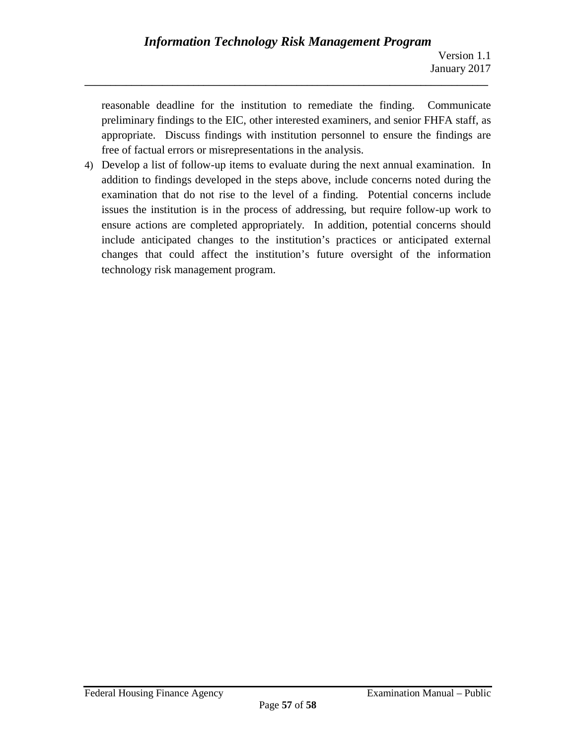reasonable deadline for the institution to remediate the finding. Communicate preliminary findings to the EIC, other interested examiners, and senior FHFA staff, as appropriate. Discuss findings with institution personnel to ensure the findings are free of factual errors or misrepresentations in the analysis.

4) Develop a list of follow-up items to evaluate during the next annual examination. In addition to findings developed in the steps above, include concerns noted during the examination that do not rise to the level of a finding. Potential concerns include issues the institution is in the process of addressing, but require follow-up work to ensure actions are completed appropriately. In addition, potential concerns should include anticipated changes to the institution's practices or anticipated external changes that could affect the institution's future oversight of the information technology risk management program.